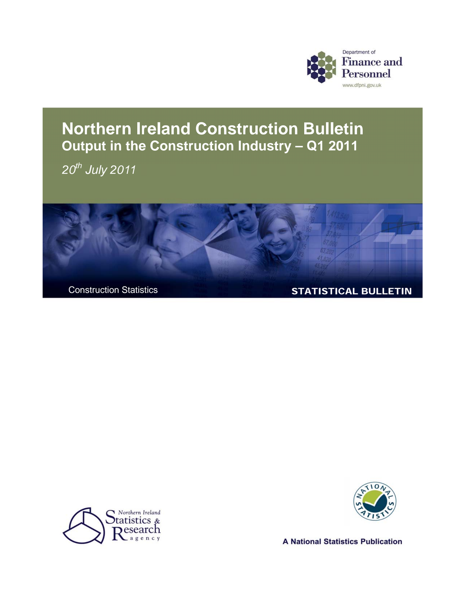

### **Northern Ireland Construction Bulletin Output in the Construction Industry – Q1 2011**

*20th July 2011* 







**A National Statistics Publication**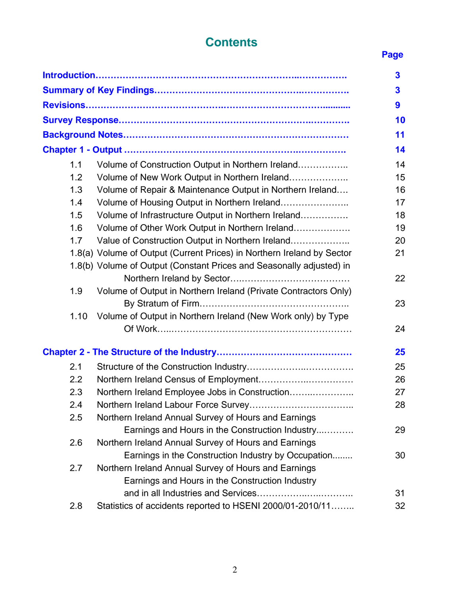# **Contents** Page

|      |                                                                        | $\overline{\mathbf{3}}$ |
|------|------------------------------------------------------------------------|-------------------------|
|      |                                                                        | 3                       |
|      |                                                                        | 9                       |
|      |                                                                        | 10                      |
|      |                                                                        | 11                      |
|      |                                                                        | 14                      |
| 1.1  | Volume of Construction Output in Northern Ireland                      | 14                      |
| 1.2  | Volume of New Work Output in Northern Ireland                          | 15                      |
| 1.3  | Volume of Repair & Maintenance Output in Northern Ireland              | 16                      |
| 1.4  | Volume of Housing Output in Northern Ireland                           | 17                      |
| 1.5  | Volume of Infrastructure Output in Northern Ireland                    | 18                      |
| 1.6  | Volume of Other Work Output in Northern Ireland                        | 19                      |
| 1.7  | Value of Construction Output in Northern Ireland                       | 20                      |
|      | 1.8(a) Volume of Output (Current Prices) in Northern Ireland by Sector | 21                      |
|      | 1.8(b) Volume of Output (Constant Prices and Seasonally adjusted) in   |                         |
|      |                                                                        | 22                      |
| 1.9  | Volume of Output in Northern Ireland (Private Contractors Only)        |                         |
|      |                                                                        | 23                      |
| 1.10 | Volume of Output in Northern Ireland (New Work only) by Type           |                         |
|      |                                                                        | 24                      |
|      |                                                                        |                         |
|      |                                                                        | 25                      |
| 2.1  |                                                                        | 25                      |
| 2.2  |                                                                        | 26                      |
| 2.3  | Northern Ireland Employee Jobs in Construction                         | 27                      |
| 2.4  |                                                                        | 28                      |
| 2.5  | Northern Ireland Annual Survey of Hours and Earnings                   |                         |
|      | Earnings and Hours in the Construction Industry                        | 29                      |
| 2.6  | Northern Ireland Annual Survey of Hours and Earnings                   |                         |
|      | Earnings in the Construction Industry by Occupation                    | 30                      |
| 2.7  | Northern Ireland Annual Survey of Hours and Earnings                   |                         |
|      | Earnings and Hours in the Construction Industry                        |                         |
|      |                                                                        | 31                      |
| 2.8  | Statistics of accidents reported to HSENI 2000/01-2010/11              | 32                      |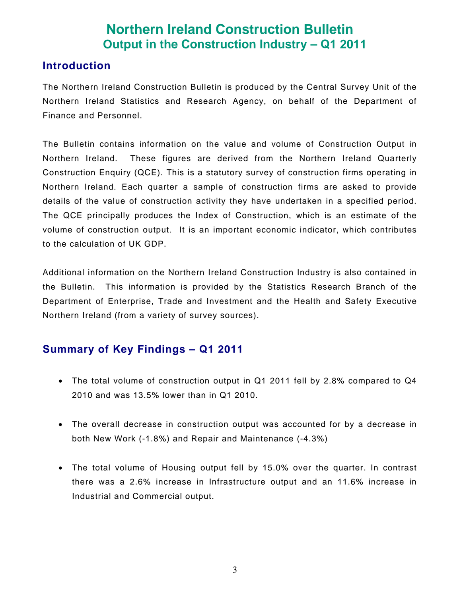### **Northern Ireland Construction Bulletin Output in the Construction Industry – Q1 2011**

#### **Introduction**

The Northern Ireland Construction Bulletin is produced by the Central Survey Unit of the Northern Ireland Statistics and Research Agency, on behalf of the Department of Finance and Personnel.

The Bulletin contains information on the value and volume of Construction Output in Northern Ireland. These figures are derived from the Northern Ireland Quarterly Construction Enquiry (QCE). This is a statutory survey of construction firms operating in Northern Ireland. Each quarter a sample of construction firms are asked to provide details of the value of construction activity they have undertaken in a specified period. The QCE principally produces the Index of Construction, which is an estimate of the volume of construction output. It is an important economic indicator, which contributes to the calculation of UK GDP.

Additional information on the Northern Ireland Construction Industry is also contained in the Bulletin. This information is provided by the Statistics Research Branch of the Department of Enterprise, Trade and Investment and the Health and Safety Executive Northern Ireland (from a variety of survey sources).

### **Summary of Key Findings – Q1 2011**

- The total volume of construction output in Q1 2011 fell by 2.8% compared to Q4 2010 and was 13.5% lower than in Q1 2010.
- The overall decrease in construction output was accounted for by a decrease in both New Work (-1.8%) and Repair and Maintenance (-4.3%)
- The total volume of Housing output fell by 15.0% over the quarter. In contrast there was a 2.6% increase in Infrastructure output and an 11.6% increase in Industrial and Commercial output.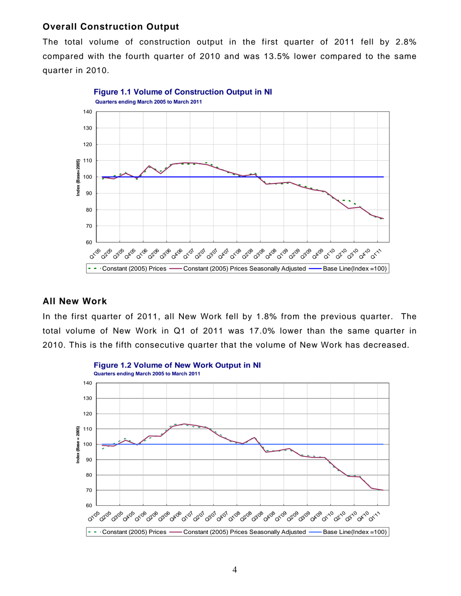#### **Overall Construction Output**

The total volume of construction output in the first quarter of 2011 fell by 2.8% compared with the fourth quarter of 2010 and was 13.5% lower compared to the same quarter in 2010.



#### **All New Work**

In the first quarter of 2011, all New Work fell by 1.8% from the previous quarter. The total volume of New Work in Q1 of 2011 was 17.0% lower than the same quarter in 2010. This is the fifth consecutive quarter that the volume of New Work has decreased.

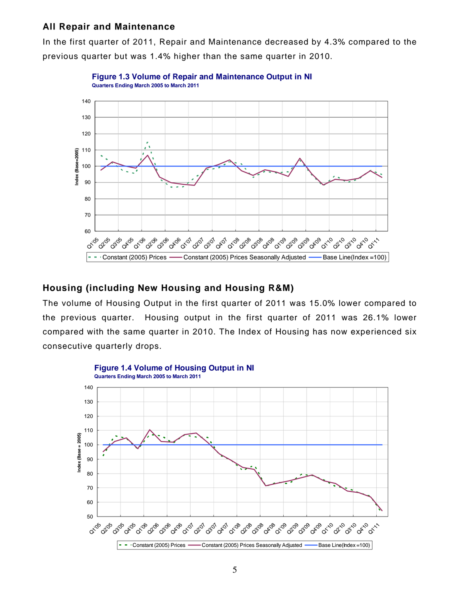#### **All Repair and Maintenance**

In the first quarter of 2011, Repair and Maintenance decreased by 4.3% compared to the previous quarter but was 1.4% higher than the same quarter in 2010.



**Figure 1.3 Volume of Repair and Maintenance Output in NI Quarters Ending March 2005 to March 2011**

#### **Housing (including New Housing and Housing R&M)**

The volume of Housing Output in the first quarter of 2011 was 15.0% lower compared to the previous quarter. Housing output in the first quarter of 2011 was 26.1% lower compared with the same quarter in 2010. The Index of Housing has now experienced six consecutive quarterly drops.

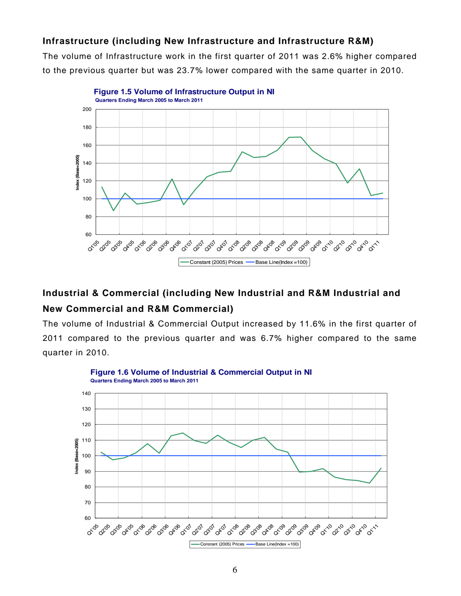#### **Infrastructure (including New Infrastructure and Infrastructure R&M)**

The volume of Infrastructure work in the first quarter of 2011 was 2.6% higher compared to the previous quarter but was 23.7% lower compared with the same quarter in 2010.



#### **Industrial & Commercial (including New Industrial and R&M Industrial and New Commercial and R&M Commercial)**

The volume of Industrial & Commercial Output increased by 11.6% in the first quarter of 2011 compared to the previous quarter and was 6.7% higher compared to the same quarter in 2010.

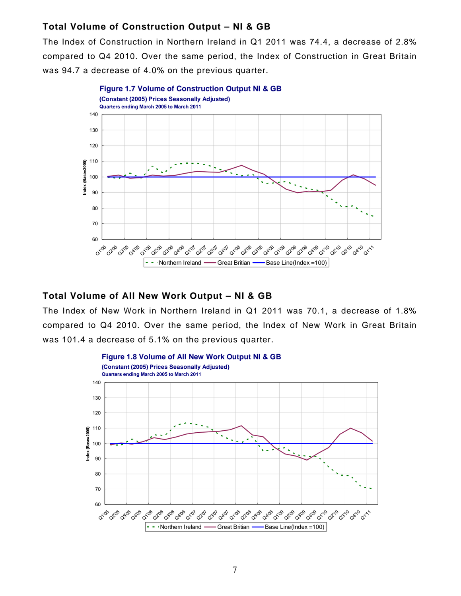#### **Total Volume of Construction Output – NI & GB**

The Index of Construction in Northern Ireland in Q1 2011 was 74.4, a decrease of 2.8% compared to Q4 2010. Over the same period, the Index of Construction in Great Britain was 94.7 a decrease of 4.0% on the previous quarter.



#### **Total Volume of All New Work Output – NI & GB**

The Index of New Work in Northern Ireland in Q1 2011 was 70.1, a decrease of 1.8% compared to Q4 2010. Over the same period, the Index of New Work in Great Britain was 101.4 a decrease of 5.1% on the previous quarter.

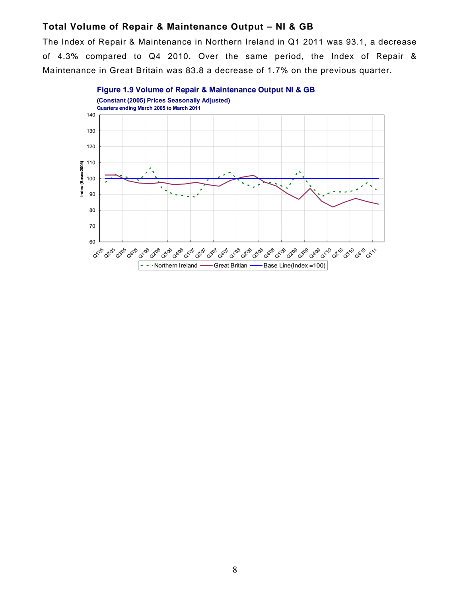#### **Total Volume of Repair & Maintenance Output – NI & GB**

The Index of Repair & Maintenance in Northern Ireland in Q1 2011 was 93.1, a decrease of 4.3% compared to Q4 2010. Over the same period, the Index of Repair & Maintenance in Great Britain was 83.8 a decrease of 1.7% on the previous quarter.

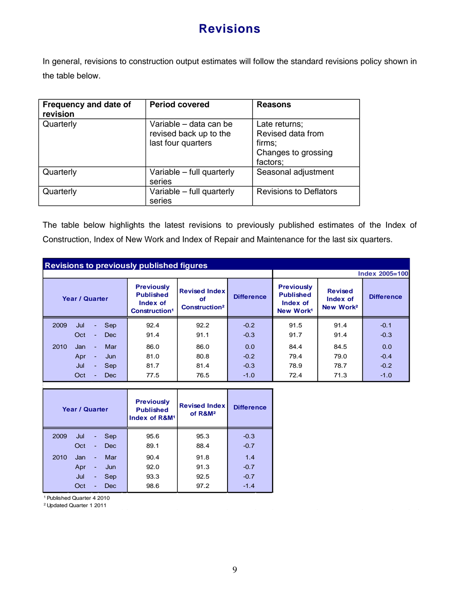### **Revisions**

In general, revisions to construction output estimates will follow the standard revisions policy shown in the table below.

| Frequency and date of<br>revision | <b>Period covered</b>                                                  | <b>Reasons</b>                                                                  |
|-----------------------------------|------------------------------------------------------------------------|---------------------------------------------------------------------------------|
| Quarterly                         | Variable - data can be<br>revised back up to the<br>last four quarters | Late returns;<br>Revised data from<br>firms;<br>Changes to grossing<br>factors; |
| Quarterly                         | Variable – full quarterly<br>series                                    | Seasonal adjustment                                                             |
| Quarterly                         | Variable – full quarterly<br>series                                    | <b>Revisions to Deflators</b>                                                   |

The table below highlights the latest revisions to previously published estimates of the Index of Construction, Index of New Work and Index of Repair and Maintenance for the last six quarters.

| <b>Revisions to previously published figures</b> |                                                                                |                                                               |                   |                                                                            |                                                     |                       |  |
|--------------------------------------------------|--------------------------------------------------------------------------------|---------------------------------------------------------------|-------------------|----------------------------------------------------------------------------|-----------------------------------------------------|-----------------------|--|
|                                                  |                                                                                |                                                               |                   |                                                                            |                                                     | <b>Index 2005=100</b> |  |
| <b>Year / Quarter</b>                            | <b>Previously</b><br><b>Published</b><br>Index of<br>Construction <sup>1</sup> | <b>Revised Index</b><br>of<br><b>Construction<sup>2</sup></b> | <b>Difference</b> | <b>Previously</b><br><b>Published</b><br>Index of<br>New Work <sup>1</sup> | <b>Revised</b><br>Index of<br>New Work <sup>2</sup> | <b>Difference</b>     |  |
| Sep<br>2009<br>Jul<br>$\sim$                     | 92.4                                                                           | 92.2                                                          | $-0.2$            | 91.5                                                                       | 91.4                                                | $-0.1$                |  |
| Oct<br><b>Dec</b><br>$\sim$                      | 91.4                                                                           | 91.1                                                          | $-0.3$            | 91.7                                                                       | 91.4                                                | $-0.3$                |  |
| 2010<br>Mar<br>Jan<br>$\sim$                     | 86.0                                                                           | 86.0                                                          | 0.0               | 84.4                                                                       | 84.5                                                | 0.0                   |  |
| Apr<br>Jun                                       | 81.0                                                                           | 80.8                                                          | $-0.2$            | 79.4                                                                       | 79.0                                                | $-0.4$                |  |
| Jul<br>Sep<br>$\sim$                             | 81.7                                                                           | 81.4                                                          | $-0.3$            | 78.9                                                                       | 78.7                                                | $-0.2$                |  |
| Oct<br><b>Dec</b>                                | 77.5                                                                           | 76.5                                                          | $-1.0$            | 72.4                                                                       | 71.3                                                | $-1.0$                |  |

|      | <b>Year / Quarter</b> |                |            | <b>Previously</b><br><b>Published</b><br>Index of R&M <sup>1</sup> | <b>Revised Index</b><br>of R&M <sup>2</sup> | <b>Difference</b> |
|------|-----------------------|----------------|------------|--------------------------------------------------------------------|---------------------------------------------|-------------------|
| 2009 | Jul                   | $\blacksquare$ | <b>Sep</b> | 95.6                                                               | 95.3                                        | $-0.3$            |
|      | Oct                   | ٠              | <b>Dec</b> | 89.1                                                               | 88.4                                        | $-0.7$            |
| 2010 | Jan                   | $\blacksquare$ | Mar        | 90.4                                                               | 91.8                                        | 1.4               |
|      | Apr                   | ۰              | Jun        | 92.0                                                               | 91.3                                        | $-0.7$            |
|      | Jul                   | ٠              | Sep        | 93.3                                                               | 92.5                                        | $-0.7$            |
|      | Oct                   | ٠              | Dec        | 98.6                                                               | 97.2                                        | $-1.4$            |

1 Published Quarter 4 2010

2 Updated Quarter 1 2011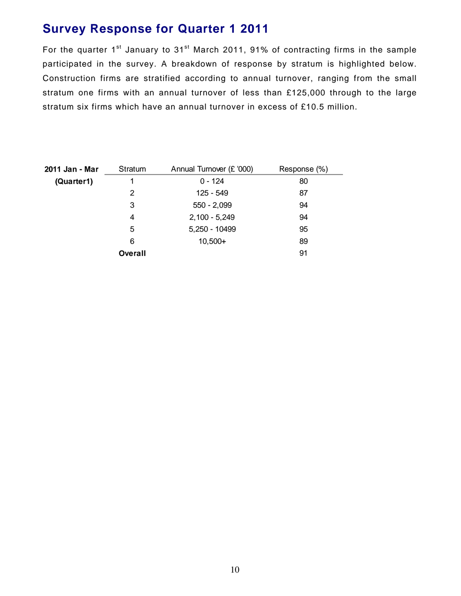### **Survey Response for Quarter 1 2011**

For the quarter  $1^{st}$  January to  $31^{st}$  March 2011, 91% of contracting firms in the sample participated in the survey. A breakdown of response by stratum is highlighted below. Construction firms are stratified according to annual turnover, ranging from the small stratum one firms with an annual turnover of less than £125,000 through to the large stratum six firms which have an annual turnover in excess of £10.5 million.

| 2011 Jan - Mar | Stratum        | Annual Turnover (£ '000) | Response (%) |
|----------------|----------------|--------------------------|--------------|
| (Quarter1)     |                | $0 - 124$                | 80           |
|                | 2              | 125 - 549                | 87           |
|                | 3              | $550 - 2,099$            | 94           |
|                | 4              | $2,100 - 5,249$          | 94           |
|                | 5              | 5,250 - 10499            | 95           |
|                | 6              | $10,500+$                | 89           |
|                | <b>Overall</b> |                          | 91           |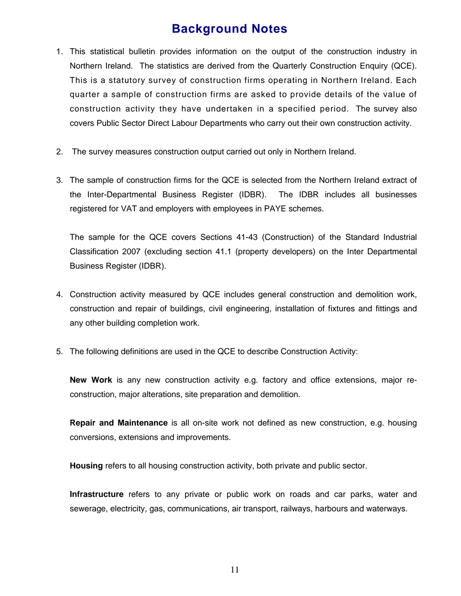### **Background Notes**

- 1. This statistical bulletin provides information on the output of the construction industry in Northern Ireland. The statistics are derived from the Quarterly Construction Enquiry (QCE). This is a statutory survey of construction firms operating in Northern Ireland. Each quarter a sample of construction firms are asked to provide details of the value of construction activity they have undertaken in a specified period. The survey also covers Public Sector Direct Labour Departments who carry out their own construction activity.
- 2. The survey measures construction output carried out only in Northern Ireland.
- 3. The sample of construction firms for the QCE is selected from the Northern Ireland extract of the Inter-Departmental Business Register (IDBR). The IDBR includes all businesses registered for VAT and employers with employees in PAYE schemes.

The sample for the QCE covers Sections 41-43 (Construction) of the Standard Industrial Classification 2007 (excluding section 41.1 (property developers) on the Inter Departmental Business Register (IDBR).

- 4. Construction activity measured by QCE includes general construction and demolition work, construction and repair of buildings, civil engineering, installation of fixtures and fittings and any other building completion work.
- 5. The following definitions are used in the QCE to describe Construction Activity:

**New Work** is any new construction activity e.g. factory and office extensions, major reconstruction, major alterations, site preparation and demolition.

**Repair and Maintenance** is all on-site work not defined as new construction, e.g. housing conversions, extensions and improvements.

**Housing** refers to all housing construction activity, both private and public sector.

**Infrastructure** refers to any private or public work on roads and car parks, water and sewerage, electricity, gas, communications, air transport, railways, harbours and waterways.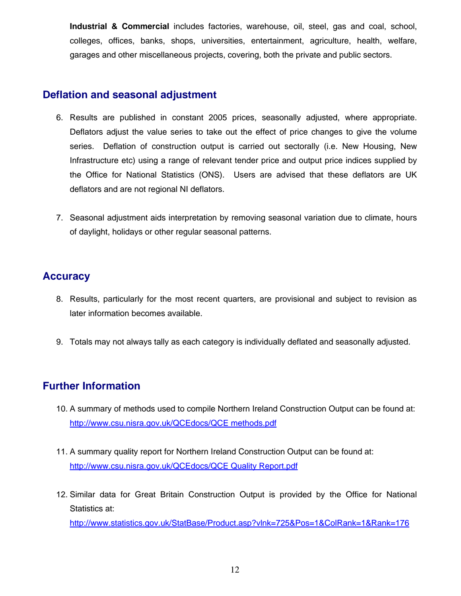**Industrial & Commercial** includes factories, warehouse, oil, steel, gas and coal, school, colleges, offices, banks, shops, universities, entertainment, agriculture, health, welfare, garages and other miscellaneous projects, covering, both the private and public sectors.

#### **Deflation and seasonal adjustment**

- 6. Results are published in constant 2005 prices, seasonally adjusted, where appropriate. Deflators adjust the value series to take out the effect of price changes to give the volume series. Deflation of construction output is carried out sectorally (i.e. New Housing, New Infrastructure etc) using a range of relevant tender price and output price indices supplied by the Office for National Statistics (ONS). Users are advised that these deflators are UK deflators and are not regional NI deflators.
- 7. Seasonal adjustment aids interpretation by removing seasonal variation due to climate, hours of daylight, holidays or other regular seasonal patterns.

#### **Accuracy**

- 8. Results, particularly for the most recent quarters, are provisional and subject to revision as later information becomes available.
- 9. Totals may not always tally as each category is individually deflated and seasonally adjusted.

#### **Further Information**

- 10. A summary of methods used to compile Northern Ireland Construction Output can be found at: [http://www.csu.nisra.gov.uk/QCEdocs/QCE methods.pdf](http://www.csu.nisra.gov.uk/QCEdocs/QCE%20methods.pdf)
- 11. A summary quality report for Northern Ireland Construction Output can be found at: [http://www.csu.nisra.gov.uk/QCEdocs/QCE Quality Report.pdf](http://www.csu.nisra.gov.uk/QCEdocs/QCE%20Quality%20Report.pdf)
- 12. Similar data for Great Britain Construction Output is provided by the Office for National Statistics at:

<http://www.statistics.gov.uk/StatBase/Product.asp?vlnk=725&Pos=1&ColRank=1&Rank=176>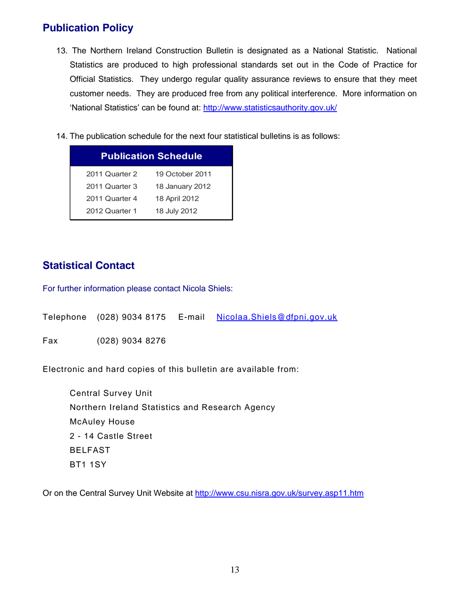#### **Publication Policy**

- 13. The Northern Ireland Construction Bulletin is designated as a National Statistic. National Statistics are produced to high professional standards set out in the Code of Practice for Official Statistics. They undergo regular quality assurance reviews to ensure that they meet customer needs. They are produced free from any political interference. More information on 'National Statistics' can be found at: <http://www.statisticsauthority.gov.uk/>
- 14. The publication schedule for the next four statistical bulletins is as follows:

|                | <b>Publication Schedule</b> |
|----------------|-----------------------------|
| 2011 Quarter 2 | 19 October 2011             |
| 2011 Quarter 3 | 18 January 2012             |
| 2011 Quarter 4 | 18 April 2012               |
| 2012 Quarter 1 | 18 July 2012                |

#### **Statistical Contact**

For further information please contact Nicola Shiels:

|     |                 | Telephone (028) 9034 8175    E-mail Nicolaa. Shiels@dfpni.gov.uk |
|-----|-----------------|------------------------------------------------------------------|
| Fax | (028) 9034 8276 |                                                                  |

Electronic and hard copies of this bulletin are available from:

 Central Survey Unit Northern Ireland Statistics and Research Agency McAuley House 2 - 14 Castle Street BELFAST BT1 1SY

Or on the Central Survey Unit Website at<http://www.csu.nisra.gov.uk/survey.asp11.htm>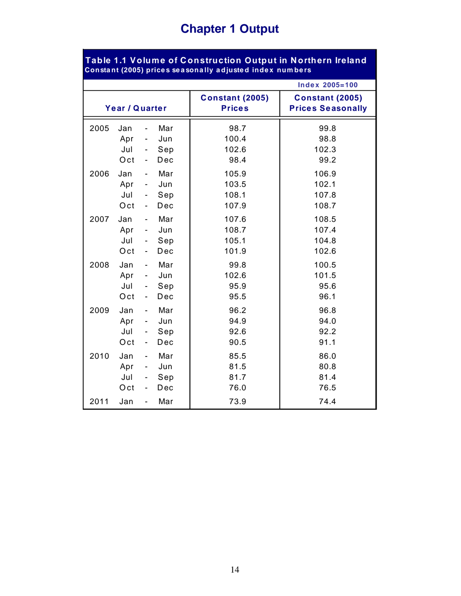## **Chapter 1 Output**

|                |                          |                                                                 |                          |                                         | <b>Index 2005=100</b>                              |
|----------------|--------------------------|-----------------------------------------------------------------|--------------------------|-----------------------------------------|----------------------------------------------------|
| Year / Quarter |                          |                                                                 |                          | <b>Constant (2005)</b><br><b>Prices</b> | <b>Constant (2005)</b><br><b>Prices Seasonally</b> |
| 2005           | Jan<br>Apr<br>Jul<br>Oct | $\blacksquare$<br>$\qquad \qquad \blacksquare$<br>$\frac{1}{2}$ | Mar<br>Jun<br>Sep<br>Dec | 98.7<br>100.4<br>102.6<br>98.4          | 99.8<br>98.8<br>102.3<br>99.2                      |
| 2006           | Jan                      | $\blacksquare$                                                  | Mar                      | 105.9                                   | 106.9                                              |
|                | Apr                      | $\sim$ 10 $\pm$                                                 | Jun                      | 103.5                                   | 102.1                                              |
|                | Jul                      | $\qquad \qquad \blacksquare$                                    | Sep                      | 108.1                                   | 107.8                                              |
|                | Oct                      | $\blacksquare$                                                  | Dec                      | 107.9                                   | 108.7                                              |
| 2007           | Jan                      | $\blacksquare$                                                  | Mar                      | 107.6                                   | 108.5                                              |
|                | Apr                      | $\frac{1}{2}$                                                   | Jun                      | 108.7                                   | 107.4                                              |
|                | Jul                      | $\overline{\phantom{0}}$                                        | Sep                      | 105.1                                   | 104.8                                              |
|                | Oct                      | $\blacksquare$                                                  | Dec                      | 101.9                                   | 102.6                                              |
| 2008           | Jan                      | $\blacksquare$                                                  | Mar                      | 99.8                                    | 100.5                                              |
|                | Apr                      | $\blacksquare$                                                  | Jun                      | 102.6                                   | 101.5                                              |
|                | Jul                      | $\blacksquare$                                                  | Sep                      | 95.9                                    | 95.6                                               |
|                | Oct                      | $\blacksquare$                                                  | Dec                      | 95.5                                    | 96.1                                               |
| 2009           | Jan                      | $\blacksquare$                                                  | Mar                      | 96.2                                    | 96.8                                               |
|                | Apr                      | $\blacksquare$                                                  | Jun                      | 94.9                                    | 94.0                                               |
|                | Jul                      | $\qquad \qquad \blacksquare$                                    | Sep                      | 92.6                                    | 92.2                                               |
|                | Oct                      | $\blacksquare$                                                  | Dec                      | 90.5                                    | 91.1                                               |
| 2010           | Jan                      | $\blacksquare$                                                  | Mar                      | 85.5                                    | 86.0                                               |
|                | Apr                      | $\blacksquare$                                                  | Jun                      | 81.5                                    | 80.8                                               |
|                | Jul                      | $\blacksquare$                                                  | Sep                      | 81.7                                    | 81.4                                               |
|                | Oct                      | $\blacksquare$                                                  | Dec                      | 76.0                                    | 76.5                                               |
| 2011           | Jan                      | $\blacksquare$                                                  | Mar                      | 73.9                                    | 74.4                                               |

**Table 1.1 Volume of C onstruction Output in N orthern Ireland**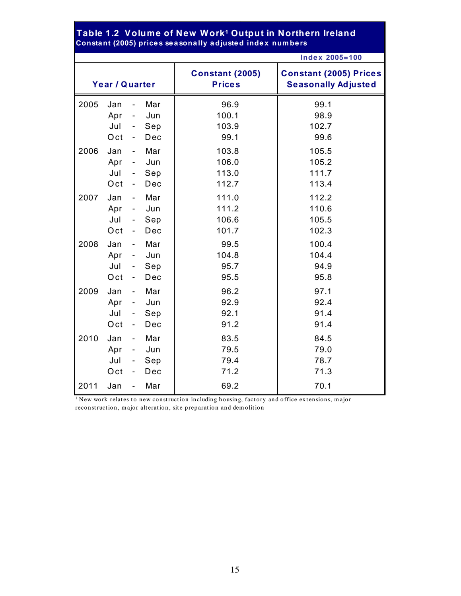|      | Constant (2005) prices seasonally adjusted index numbers |                              |     |                                         |                                                             |
|------|----------------------------------------------------------|------------------------------|-----|-----------------------------------------|-------------------------------------------------------------|
|      |                                                          |                              |     |                                         | <b>Index 2005=100</b>                                       |
|      | Year / Quarter                                           |                              |     | <b>Constant (2005)</b><br><b>Prices</b> | <b>Constant (2005) Prices</b><br><b>Seasonally Adjusted</b> |
| 2005 | Jan                                                      | $\qquad \qquad \blacksquare$ | Mar | 96.9                                    | 99.1                                                        |
|      | Apr                                                      | $\overline{\phantom{a}}$     | Jun | 100.1                                   | 98.9                                                        |
|      | Jul                                                      | $\overline{\phantom{a}}$     | Sep | 103.9                                   | 102.7                                                       |
|      | Oct                                                      | $\overline{\phantom{0}}$     | Dec | 99.1                                    | 99.6                                                        |
| 2006 | Jan                                                      | $\overline{\phantom{a}}$     | Mar | 103.8                                   | 105.5                                                       |
|      | Apr                                                      | $\overline{\phantom{a}}$     | Jun | 106.0                                   | 105.2                                                       |
|      | Jul                                                      | $\sim$                       | Sep | 113.0                                   | 111.7                                                       |
|      | Oct                                                      | $\blacksquare$               | Dec | 112.7                                   | 113.4                                                       |
| 2007 | Jan                                                      | $\overline{\phantom{a}}$     | Mar | 111.0                                   | 112.2                                                       |
|      | Apr                                                      | $\overline{\phantom{a}}$     | Jun | 111.2                                   | 110.6                                                       |
|      | Jul                                                      | $\overline{\phantom{a}}$     | Sep | 106.6                                   | 105.5                                                       |
|      | Oct                                                      | ۰                            | Dec | 101.7                                   | 102.3                                                       |
| 2008 | Jan                                                      | $\overline{\phantom{a}}$     | Mar | 99.5                                    | 100.4                                                       |
|      | Apr                                                      | $\blacksquare$               | Jun | 104.8                                   | 104.4                                                       |
|      | Jul                                                      | $\overline{\phantom{a}}$     | Sep | 95.7                                    | 94.9                                                        |
|      | Oct                                                      | $\overline{\phantom{a}}$     | Dec | 95.5                                    | 95.8                                                        |
| 2009 | Jan                                                      | $\blacksquare$               | Mar | 96.2                                    | 97.1                                                        |
|      | Apr                                                      | $\overline{\phantom{a}}$     | Jun | 92.9                                    | 92.4                                                        |
|      | Jul                                                      | $\overline{\phantom{a}}$     | Sep | 92.1                                    | 91.4                                                        |
|      | Oct                                                      | $\overline{\phantom{a}}$     | Dec | 91.2                                    | 91.4                                                        |
| 2010 | Jan                                                      | $\blacksquare$               | Mar | 83.5                                    | 84.5                                                        |
|      | Apr                                                      | $\overline{\phantom{a}}$     | Jun | 79.5                                    | 79.0                                                        |
|      | Jul                                                      | $\overline{\phantom{a}}$     | Sep | 79.4                                    | 78.7                                                        |
|      | Oct                                                      | $\overline{\phantom{a}}$     | Dec | 71.2                                    | 71.3                                                        |
| 2011 | Jan                                                      | $\overline{\phantom{0}}$     | Mar | 69.2                                    | 70.1                                                        |

#### Table 1.2 Volume of New Work<sup>1</sup> Output in Northern Ireland **Consta nt (2005) price s se a sona lly a djuste d inde x num be rs**

 $1$  New work relates to new construction including housing, factory and office extensions, major reconstruction, m ajor alteration, site preparation and dem olition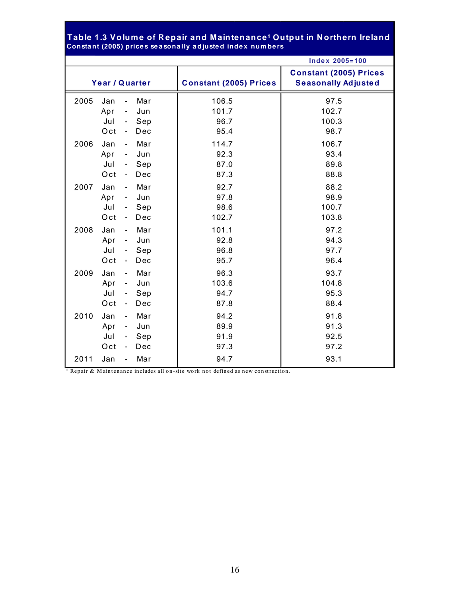#### **Consta nt (2005) price s se a sona lly a djuste d inde x num be rs** Table 1.3 Volume of Repair and Maintenance<sup>1</sup> Output in Northern Ireland

|      |                |                          |     |                               | <b>Index 2005=100</b>         |
|------|----------------|--------------------------|-----|-------------------------------|-------------------------------|
|      |                |                          |     |                               | <b>Constant (2005) Prices</b> |
|      | Year / Quarter |                          |     | <b>Constant (2005) Prices</b> | <b>Seasonally Adjusted</b>    |
| 2005 | Jan            | $\blacksquare$           | Mar | 106.5                         | 97.5                          |
|      | Apr            | $\overline{\phantom{a}}$ | Jun | 101.7                         | 102.7                         |
|      | Jul            | $\sim$                   | Sep | 96.7                          | 100.3                         |
|      | Oct            | $\blacksquare$           | Dec | 95.4                          | 98.7                          |
| 2006 | Jan            | $\sim$                   | Mar | 114.7                         | 106.7                         |
|      | Apr            | $\blacksquare$           | Jun | 92.3                          | 93.4                          |
|      | Jul            | $\sim$                   | Sep | 87.0                          | 89.8                          |
|      | Oct            | $\sim$                   | Dec | 87.3                          | 88.8                          |
| 2007 | Jan            | $\blacksquare$           | Mar | 92.7                          | 88.2                          |
|      | Apr            | $\blacksquare$           | Jun | 97.8                          | 98.9                          |
|      | Jul            | $\sim$                   | Sep | 98.6                          | 100.7                         |
|      | Oct            | $\blacksquare$           | Dec | 102.7                         | 103.8                         |
| 2008 | Jan            | $\blacksquare$           | Mar | 101.1                         | 97.2                          |
|      | Apr            | $\sim$                   | Jun | 92.8                          | 94.3                          |
|      | Jul            | $\sim$                   | Sep | 96.8                          | 97.7                          |
|      | Oct            | $\blacksquare$           | Dec | 95.7                          | 96.4                          |
| 2009 | Jan            | $\sim$                   | Mar | 96.3                          | 93.7                          |
|      | Apr            | $\sim$                   | Jun | 103.6                         | 104.8                         |
|      | Jul            | $\omega_{\rm{eff}}$      | Sep | 94.7                          | 95.3                          |
|      | Oct            | $\blacksquare$           | Dec | 87.8                          | 88.4                          |
| 2010 | Jan            | $\blacksquare$           | Mar | 94.2                          | 91.8                          |
|      | Apr            | $\blacksquare$           | Jun | 89.9                          | 91.3                          |
|      | Jul            | $\blacksquare$           | Sep | 91.9                          | 92.5                          |
|      | Oct            | $\blacksquare$           | Dec | 97.3                          | 97.2                          |
| 2011 | Jan            | $\blacksquare$           | Mar | 94.7                          | 93.1                          |

**<sup>1</sup>** Repair & M aintenance includes all on-site work not defined as new construction.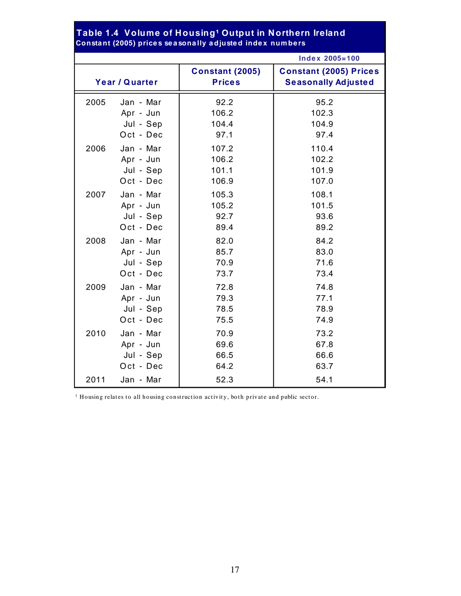|      |                | Constant (2003) prices seasonahy aujusted muex numbers |                                                             |
|------|----------------|--------------------------------------------------------|-------------------------------------------------------------|
|      |                |                                                        | <b>Index 2005=100</b>                                       |
|      | Year / Quarter | <b>Constant (2005)</b><br><b>Prices</b>                | <b>Constant (2005) Prices</b><br><b>Seasonally Adjusted</b> |
| 2005 | Jan - Mar      | 92.2                                                   | 95.2                                                        |
|      | Apr - Jun      | 106.2                                                  | 102.3                                                       |
|      | Jul - Sep      | 104.4                                                  | 104.9                                                       |
|      | Oct - Dec      | 97.1                                                   | 97.4                                                        |
| 2006 | Jan - Mar      | 107.2                                                  | 110.4                                                       |
|      | Apr - Jun      | 106.2                                                  | 102.2                                                       |
|      | Jul - Sep      | 101.1                                                  | 101.9                                                       |
|      | Oct - Dec      | 106.9                                                  | 107.0                                                       |
| 2007 | Jan - Mar      | 105.3                                                  | 108.1                                                       |
|      | Apr - Jun      | 105.2                                                  | 101.5                                                       |
|      | Jul - Sep      | 92.7                                                   | 93.6                                                        |
|      | Oct - Dec      | 89.4                                                   | 89.2                                                        |
| 2008 | Jan - Mar      | 82.0                                                   | 84.2                                                        |
|      | Apr - Jun      | 85.7                                                   | 83.0                                                        |
|      | Jul - Sep      | 70.9                                                   | 71.6                                                        |
|      | Oct - Dec      | 73.7                                                   | 73.4                                                        |
| 2009 | Jan - Mar      | 72.8                                                   | 74.8                                                        |
|      | Apr - Jun      | 79.3                                                   | 77.1                                                        |
|      | Jul - Sep      | 78.5                                                   | 78.9                                                        |
|      | Oct - Dec      | 75.5                                                   | 74.9                                                        |
| 2010 | Jan - Mar      | 70.9                                                   | 73.2                                                        |
|      | Apr - Jun      | 69.6                                                   | 67.8                                                        |
|      | Jul - Sep      | 66.5                                                   | 66.6                                                        |
|      | Oct - Dec      | 64.2                                                   | 63.7                                                        |
| 2011 | Jan - Mar      | 52.3                                                   | 54.1                                                        |

#### **Consta nt (2005) price s se a sona lly a djuste d inde x num be rs Table 1.4 Volume of Housing¹ Output in Northern Ireland**

1 Housing relates to all housing construction activity, both private and public sector.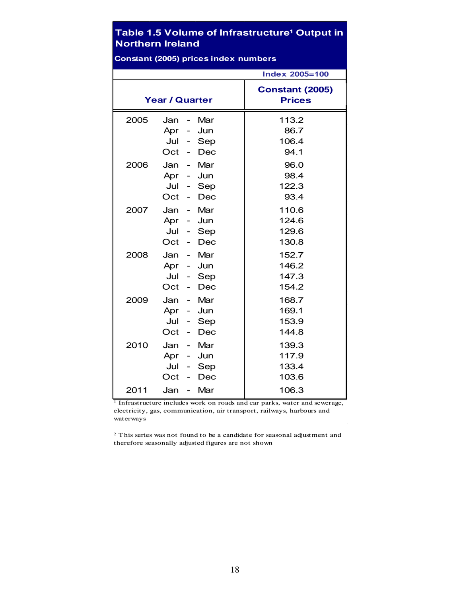#### **Table 1.5 Volume of Infrastructure<sup>1</sup> Output in Northern Ireland**

|      |                                                                                                                                                        | <b>Index 2005=100</b>                   |
|------|--------------------------------------------------------------------------------------------------------------------------------------------------------|-----------------------------------------|
|      | <b>Year / Quarter</b>                                                                                                                                  | <b>Constant (2005)</b><br><b>Prices</b> |
| 2005 | Mar<br>Jan<br>$\overline{\phantom{0}}$<br>Apr<br>Jun<br>Jul<br>Sep<br>$\overline{a}$<br>Oct<br>Dec<br>$\overline{\phantom{0}}$                         | 113.2<br>86.7<br>106.4<br>94.1          |
| 2006 | Mar<br>Jan<br>$\overline{\phantom{a}}$<br>Jun<br>Apr<br>$\qquad \qquad \blacksquare$<br>Jul<br>Sep<br>$\sim$<br>Oct<br>Dec<br>$\overline{\phantom{0}}$ | 96.0<br>98.4<br>122.3<br>93.4           |
| 2007 | Mar<br>Jan<br>$\sim$<br>Jun<br>Apr<br>$\sim$<br>Jul<br>Sep<br>$\overline{\phantom{a}}$<br>Oct<br>Dec                                                   | 110.6<br>124.6<br>129.6<br>130.8        |
| 2008 | Jan<br>Mar<br>Apr -<br>Jun<br>Jul<br>Sep<br>$\overline{\phantom{0}}$<br>Oct<br>Dec                                                                     | 152.7<br>146.2<br>147.3<br>154.2        |
| 2009 | Jan<br>Mar<br>$\overline{\phantom{a}}$<br>Apr<br>Jun<br>$\sim$<br>Jul<br>Sep<br>$\overline{\phantom{0}}$<br>Oct<br>Dec                                 | 168.7<br>169.1<br>153.9<br>144.8        |
| 2010 | Jan<br>Mar<br>Apr<br>Jun<br>$\sim$<br>Jul<br>Sep<br>Oct<br>Dec                                                                                         | 139.3<br>117.9<br>133.4<br>103.6        |
| 2011 | Mar<br>Jan<br>$\overline{\phantom{0}}$                                                                                                                 | 106.3                                   |

**Constant (2005) prices index numbers**

 $1$  Infrastructure includes work on roads and car parks, water and sewerage, electricity, gas, communication, air transport, railways, harbours and waterways

2 This series was not found to be a candidate for seasonal adjustment and therefore seasonally adjusted figures are not shown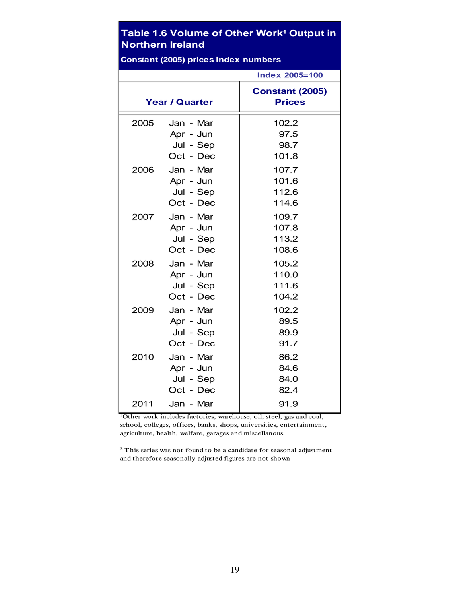#### **Table 1.6 Volume of Other Work<sup>1</sup> Output in Northern Ireland**

| version ( |                                                  |                                         |  |  |  |  |  |  |
|-----------|--------------------------------------------------|-----------------------------------------|--|--|--|--|--|--|
|           |                                                  | <b>Index 2005=100</b>                   |  |  |  |  |  |  |
|           | <b>Year / Quarter</b>                            | <b>Constant (2005)</b><br><b>Prices</b> |  |  |  |  |  |  |
| 2005      | Jan - Mar<br>Apr - Jun<br>Jul - Sep<br>Oct - Dec | 102.2<br>97.5<br>98.7<br>101.8          |  |  |  |  |  |  |
| 2006      | Jan - Mar<br>Apr - Jun<br>Jul - Sep<br>Oct - Dec | 107.7<br>101.6<br>112.6<br>114.6        |  |  |  |  |  |  |
| 2007      | Jan - Mar<br>Apr - Jun<br>Jul - Sep<br>Oct - Dec | 109.7<br>107.8<br>113.2<br>108.6        |  |  |  |  |  |  |
| 2008      | Jan - Mar<br>Apr - Jun<br>Jul - Sep<br>Oct - Dec | 105.2<br>110.0<br>111.6<br>104.2        |  |  |  |  |  |  |
| 2009      | Jan - Mar<br>Apr - Jun<br>Jul - Sep<br>Oct - Dec | 102.2<br>89.5<br>89.9<br>91.7           |  |  |  |  |  |  |
| 2010      | Jan - Mar<br>Apr - Jun<br>Jul - Sep<br>Oct - Dec | 86.2<br>84.6<br>84.0<br>82.4            |  |  |  |  |  |  |
| 2011      | Jan - Mar                                        | 91.9                                    |  |  |  |  |  |  |

**Constant (2005) prices index numbers**

1Other work includes factories, warehouse, oil, steel, gas and coal, school, colleges, offices, banks, shops, universities, entertainment, agriculture, health, welfare, garages and miscellanous.

2 This series was not found to be a candidate for seasonal adjustment and therefore seasonally adjusted figures are not shown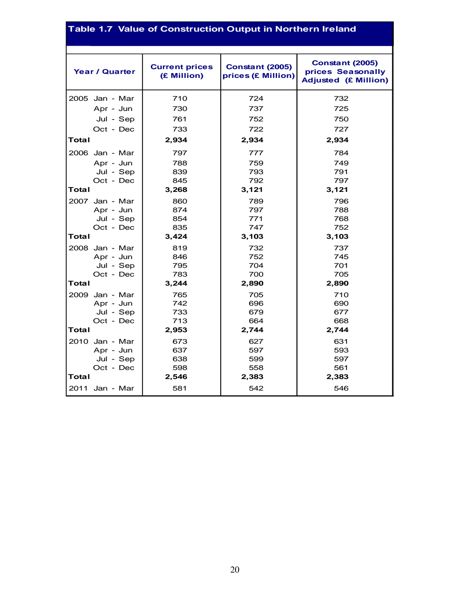#### **Table 1.7 Value of Construction Output in Northern Ireland**

| <b>Year / Quarter</b> | <b>Current prices</b><br>(£ Million) | <b>Constant (2005)</b><br>prices (£ Million) | <b>Constant (2005)</b><br>prices Seasonally<br><b>Adjusted (£ Million)</b> |
|-----------------------|--------------------------------------|----------------------------------------------|----------------------------------------------------------------------------|
| 2005 Jan - Mar        | 710                                  | 724                                          | 732                                                                        |
| Apr - Jun             | 730                                  | 737                                          | 725                                                                        |
| Jul - Sep             | 761                                  | 752                                          | 750                                                                        |
| Oct - Dec             | 733                                  | 722                                          | 727                                                                        |
| Total                 | 2,934                                | 2,934                                        | 2,934                                                                      |
| 2006 Jan - Mar        | 797                                  | 777                                          | 784                                                                        |
| Apr - Jun             | 788                                  | 759                                          | 749                                                                        |
| Jul - Sep             | 839                                  | 793                                          | 791                                                                        |
| Oct - Dec             | 845                                  | 792                                          | 797                                                                        |
| Total                 | 3,268                                | 3,121                                        | 3,121                                                                      |
| 2007 Jan - Mar        | 860                                  | 789                                          | 796                                                                        |
| Apr - Jun             | 874                                  | 797                                          | 788                                                                        |
| Jul - Sep             | 854                                  | 771                                          | 768                                                                        |
| Oct - Dec             | 835                                  | 747                                          | 752                                                                        |
| Total                 | 3,424                                | 3,103                                        | 3,103                                                                      |
| 2008 Jan - Mar        | 819                                  | 732                                          | 737                                                                        |
| Apr - Jun             | 846                                  | 752                                          | 745                                                                        |
| Jul - Sep             | 795                                  | 704                                          | 701                                                                        |
| Oct - Dec             | 783                                  | 700                                          | 705                                                                        |
| Total                 | 3,244                                | 2,890                                        | 2,890                                                                      |
| 2009 Jan - Mar        | 765                                  | 705                                          | 710                                                                        |
| Apr - Jun             | 742                                  | 696                                          | 690                                                                        |
| Jul - Sep             | 733                                  | 679                                          | 677                                                                        |
| Oct - Dec             | 713                                  | 664                                          | 668                                                                        |
| Total                 | 2,953                                | 2,744                                        | 2,744                                                                      |
| 2010 Jan - Mar        | 673                                  | 627                                          | 631                                                                        |
| Apr - Jun             | 637                                  | 597                                          | 593                                                                        |
| Jul - Sep             | 638                                  | 599                                          | 597                                                                        |
| Oct - Dec             | 598                                  | 558                                          | 561                                                                        |
| Total                 | 2,546                                | 2,383                                        | 2,383                                                                      |
| 2011 Jan - Mar        | 581                                  | 542                                          | 546                                                                        |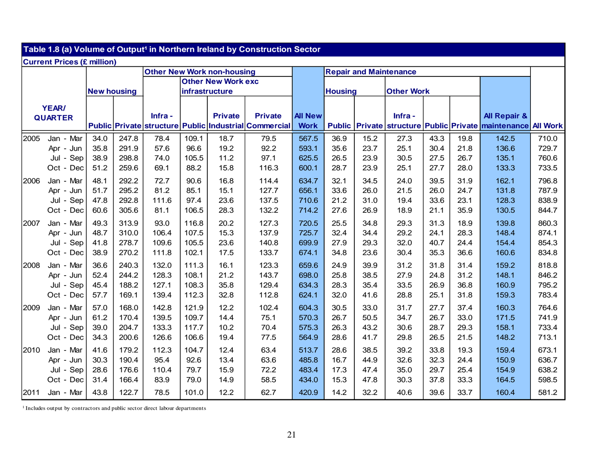| Table 1.8 (a) Volume of Output <sup>1</sup> in Northern Ireland by Construction Sector |                                      |              |                |              |                |                                   |                                                       |                |               |              |                               |              |              |                                                                 |                |
|----------------------------------------------------------------------------------------|--------------------------------------|--------------|----------------|--------------|----------------|-----------------------------------|-------------------------------------------------------|----------------|---------------|--------------|-------------------------------|--------------|--------------|-----------------------------------------------------------------|----------------|
|                                                                                        | <b>Current Prices (£ million)</b>    |              |                |              |                |                                   |                                                       |                |               |              |                               |              |              |                                                                 |                |
|                                                                                        |                                      |              |                |              |                | <b>Other New Work non-housing</b> |                                                       |                |               |              | <b>Repair and Maintenance</b> |              |              |                                                                 |                |
|                                                                                        |                                      |              |                |              |                | <b>Other New Work exc</b>         |                                                       |                |               |              |                               |              |              |                                                                 |                |
|                                                                                        | <b>New housing</b><br>infrastructure |              |                |              | <b>Housing</b> |                                   | <b>Other Work</b>                                     |                |               |              |                               |              |              |                                                                 |                |
|                                                                                        |                                      |              |                |              |                |                                   |                                                       |                |               |              |                               |              |              |                                                                 |                |
|                                                                                        | <b>YEAR/</b><br><b>QUARTER</b>       |              |                | Infra-       |                | <b>Private</b>                    | <b>Private</b>                                        | <b>All New</b> |               |              | Infra-                        |              |              | <b>All Repair &amp;</b>                                         |                |
|                                                                                        |                                      |              |                |              |                |                                   | Public Private structure Public Industrial Commercial | <b>Work</b>    | <b>Public</b> |              |                               |              |              | Private   structure   Public   Private   maintenance   All Work |                |
| 2005                                                                                   | Jan - Mar                            | 34.0         | 247.8          | 78.4         | 109.1          | 18.7                              | 79.5                                                  | 567.5          | 36.9          | 15.2         | 27.3                          | 43.3         | 19.8         | 142.5                                                           | 710.0          |
|                                                                                        | Apr - Jun                            | 35.8         | 291.9          | 57.6         | 96.6           | 19.2                              | 92.2                                                  | 593.1          | 35.6          | 23.7         | 25.1                          | 30.4         | 21.8         | 136.6                                                           | 729.7          |
|                                                                                        | Jul - Sep                            | 38.9         | 298.8          | 74.0         | 105.5          | 11.2                              | 97.1                                                  | 625.5          | 26.5          | 23.9         | 30.5                          | 27.5         | 26.7         | 135.1                                                           | 760.6          |
|                                                                                        | Oct - Dec                            | 51.2         | 259.6          | 69.1         | 88.2           | 15.8                              | 116.3                                                 | 600.1          | 28.7          | 23.9         | 25.1                          | 27.7         | 28.0         | 133.3                                                           | 733.5          |
|                                                                                        |                                      |              |                |              |                |                                   |                                                       |                |               |              |                               |              |              |                                                                 |                |
| 2006                                                                                   | Jan - Mar                            | 48.1<br>51.7 | 292.2<br>295.2 | 72.7<br>81.2 | 90.6           | 16.8<br>15.1                      | 114.4<br>127.7                                        | 634.7<br>656.1 | 32.1<br>33.6  | 34.5<br>26.0 | 24.0<br>21.5                  | 39.5<br>26.0 | 31.9<br>24.7 | 162.1<br>131.8                                                  | 796.8<br>787.9 |
|                                                                                        | Apr - Jun<br>Jul - Sep               |              | 292.8          | 111.6        | 85.1<br>97.4   | 23.6                              | 137.5                                                 | 710.6          | 21.2          | 31.0         | 19.4                          | 33.6         | 23.1         | 128.3                                                           | 838.9          |
|                                                                                        | Oct - Dec                            | 47.8<br>60.6 | 305.6          | 81.1         | 106.5          | 28.3                              | 132.2                                                 | 714.2          | 27.6          | 26.9         | 18.9                          | 21.1         | 35.9         | 130.5                                                           | 844.7          |
|                                                                                        |                                      |              |                |              |                |                                   |                                                       |                |               |              |                               |              |              |                                                                 |                |
| 2007                                                                                   | Jan - Mar                            | 49.3         | 313.9          | 93.0         | 116.8          | 20.2                              | 127.3                                                 | 720.5          | 25.5          | 34.8         | 29.3                          | 31.3         | 18.9         | 139.8                                                           | 860.3          |
|                                                                                        | Jun<br>Apr -                         | 48.7         | 310.0          | 106.4        | 107.5          | 15.3                              | 137.9                                                 | 725.7          | 32.4          | 34.4         | 29.2                          | 24.1         | 28.3         | 148.4                                                           | 874.1          |
|                                                                                        | Jul - Sep                            | 41.8         | 278.7          | 109.6        | 105.5          | 23.6                              | 140.8                                                 | 699.9          | 27.9          | 29.3         | 32.0                          | 40.7         | 24.4         | 154.4                                                           | 854.3          |
|                                                                                        | Oct - Dec                            | 38.9         | 270.2          | 111.8        | 102.1          | 17.5                              | 133.7                                                 | 674.1          | 34.8          | 23.6         | 30.4                          | 35.3         | 36.6         | 160.6                                                           | 834.8          |
| 2008                                                                                   | Jan - Mar                            | 36.6         | 240.3          | 132.0        | 111.3          | 16.1                              | 123.3                                                 | 659.6          | 24.9          | 39.9         | 31.2                          | 31.8         | 31.4         | 159.2                                                           | 818.8          |
|                                                                                        | Jun<br>Apr -                         | 52.4         | 244.2          | 128.3        | 108.1          | 21.2                              | 143.7                                                 | 698.0          | 25.8          | 38.5         | 27.9                          | 24.8         | 31.2         | 148.1                                                           | 846.2          |
|                                                                                        | Jul - Sep                            | 45.4         | 188.2          | 127.1        | 108.3          | 35.8                              | 129.4                                                 | 634.3          | 28.3          | 35.4         | 33.5                          | 26.9         | 36.8         | 160.9                                                           | 795.2          |
|                                                                                        | Oct - Dec                            | 57.7         | 169.1          | 139.4        | 112.3          | 32.8                              | 112.8                                                 | 624.1          | 32.0          | 41.6         | 28.8                          | 25.1         | 31.8         | 159.3                                                           | 783.4          |
| 2009                                                                                   | - Mar<br>Jan                         | 57.0         | 168.0          | 142.8        | 121.9          | 12.2                              | 102.4                                                 | 604.3          | 30.5          | 33.0         | 31.7                          | 27.7         | 37.4         | 160.3                                                           | 764.6          |
|                                                                                        | Apr - Jun                            | 61.2         | 170.4          | 139.5        | 109.7          | 14.4                              | 75.1                                                  | 570.3          | 26.7          | 50.5         | 34.7                          | 26.7         | 33.0         | 171.5                                                           | 741.9          |
|                                                                                        | Jul - Sep                            | 39.0         | 204.7          | 133.3        | 117.7          | 10.2                              | 70.4                                                  | 575.3          | 26.3          | 43.2         | 30.6                          | 28.7         | 29.3         | 158.1                                                           | 733.4          |
|                                                                                        | Oct - Dec                            | 34.3         | 200.6          | 126.6        | 106.6          | 19.4                              | 77.5                                                  | 564.9          | 28.6          | 41.7         | 29.8                          | 26.5         | 21.5         | 148.2                                                           | 713.1          |
| 2010                                                                                   | Jan - Mar                            | 41.6         | 179.2          | 112.3        | 104.7          | 12.4                              | 63.4                                                  | 513.7          | 28.6          | 38.5         | 39.2                          | 33.8         | 19.3         | 159.4                                                           | 673.1          |
|                                                                                        | - Jun<br>Apr                         | 30.3         | 190.4          | 95.4         | 92.6           | 13.4                              | 63.6                                                  | 485.8          | 16.7          | 44.9         | 32.6                          | 32.3         | 24.4         | 150.9                                                           | 636.7          |
|                                                                                        | Jul - Sep                            | 28.6         | 176.6          | 110.4        | 79.7           | 15.9                              | 72.2                                                  | 483.4          | 17.3          | 47.4         | 35.0                          | 29.7         | 25.4         | 154.9                                                           | 638.2          |
|                                                                                        | Dec<br>Oct -                         | 31.4         | 166.4          | 83.9         | 79.0           | 14.9                              | 58.5                                                  | 434.0          | 15.3          | 47.8         | 30.3                          | 37.8         | 33.3         | 164.5                                                           | 598.5          |
| 2011                                                                                   | Jan - Mar                            | 43.8         | 122.7          | 78.5         | 101.0          | 12.2                              | 62.7                                                  | 420.9          | 14.2          | 32.2         | 40.6                          | 39.6         | 33.7         | 160.4                                                           | 581.2          |

1 Includes output by contractors and public sector direct labour departments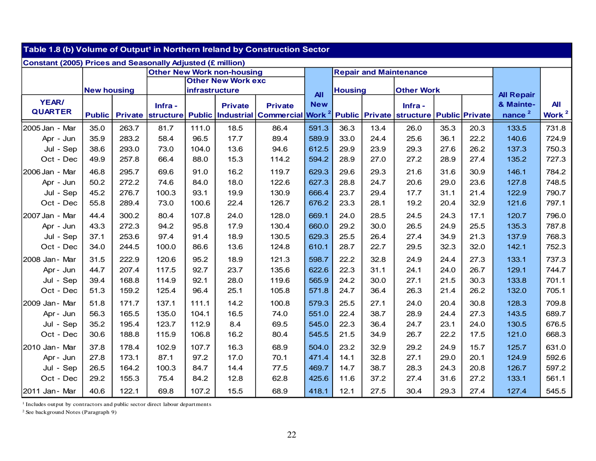|                                                                   | Table 1.8 (b) Volume of Output <sup>1</sup> in Northern Ireland by Construction Sector |                |                  |                |                                   |                       |                   |                               |      |                                         |      |      |                    |                 |
|-------------------------------------------------------------------|----------------------------------------------------------------------------------------|----------------|------------------|----------------|-----------------------------------|-----------------------|-------------------|-------------------------------|------|-----------------------------------------|------|------|--------------------|-----------------|
| <b>Constant (2005) Prices and Seasonally Adjusted (£ million)</b> |                                                                                        |                |                  |                |                                   |                       |                   |                               |      |                                         |      |      |                    |                 |
|                                                                   |                                                                                        |                |                  |                | <b>Other New Work non-housing</b> |                       |                   | <b>Repair and Maintenance</b> |      |                                         |      |      |                    |                 |
|                                                                   |                                                                                        |                |                  |                | <b>Other New Work exc</b>         |                       |                   |                               |      |                                         |      |      |                    |                 |
|                                                                   | <b>New housing</b>                                                                     |                |                  | infrastructure |                                   |                       | <b>All</b>        | <b>Housing</b>                |      | <b>Other Work</b>                       |      |      | <b>All Repair</b>  |                 |
| YEAR/                                                             |                                                                                        |                | Infra-           |                | <b>Private</b>                    | <b>Private</b>        | <b>New</b>        |                               |      | Infra-                                  |      |      | & Mainte-          | <b>All</b>      |
| <b>QUARTER</b>                                                    | <b>Public</b>                                                                          | <b>Private</b> | <b>structure</b> | <b>Public</b>  |                                   | Industrial Commercial | Work <sup>2</sup> |                               |      | Public Private structure Public Private |      |      | nance <sup>2</sup> | <b>Work</b> $2$ |
| 2005 Jan - Mar                                                    | 35.0                                                                                   | 263.7          | 81.7             | 111.0          | 18.5                              | 86.4                  | 591.3             | 36.3                          | 13.4 | 26.0                                    | 35.3 | 20.3 | 133.5              | 731.8           |
| Apr - Jun                                                         | 35.9                                                                                   | 283.2          | 58.4             | 96.5           | 17.7                              | 89.4                  | 589.9             | 33.0                          | 24.4 | 25.6                                    | 36.1 | 22.2 | 140.6              | 724.9           |
| Jul - Sep                                                         | 38.6                                                                                   | 293.0          | 73.0             | 104.0          | 13.6                              | 94.6                  | 612.5             | 29.9                          | 23.9 | 29.3                                    | 27.6 | 26.2 | 137.3              | 750.3           |
| Oct - Dec                                                         | 49.9                                                                                   | 257.8          | 66.4             | 88.0           | 15.3                              | 114.2                 | 594.2             | 28.9                          | 27.0 | 27.2                                    | 28.9 | 27.4 | 135.2              | 727.3           |
| 2006 Jan - Mar                                                    | 46.8                                                                                   | 295.7          | 69.6             | 91.0           | 16.2                              | 119.7                 | 629.3             | 29.6                          | 29.3 | 21.6                                    | 31.6 | 30.9 | 146.1              | 784.2           |
| Apr - Jun                                                         | 50.2                                                                                   | 272.2          | 74.6             | 84.0           | 18.0                              | 122.6                 | 627.3             | 28.8                          | 24.7 | 20.6                                    | 29.0 | 23.6 | 127.8              | 748.5           |
| Jul - Sep                                                         | 45.2                                                                                   | 276.7          | 100.3            | 93.1           | 19.9                              | 130.9                 | 666.4             | 23.7                          | 29.4 | 17.7                                    | 31.1 | 21.4 | 122.9              | 790.7           |
| Oct - Dec                                                         | 55.8                                                                                   | 289.4          | 73.0             | 100.6          | 22.4                              | 126.7                 | 676.2             | 23.3                          | 28.1 | 19.2                                    | 20.4 | 32.9 | 121.6              | 797.1           |
| 2007 Jan - Mar                                                    | 44.4                                                                                   | 300.2          | 80.4             | 107.8          | 24.0                              | 128.0                 | 669.1             | 24.0                          | 28.5 | 24.5                                    | 24.3 | 17.1 | 120.7              | 796.0           |
| Apr - Jun                                                         | 43.3                                                                                   | 272.3          | 94.2             | 95.8           | 17.9                              | 130.4                 | 660.0             | 29.2                          | 30.0 | 26.5                                    | 24.9 | 25.5 | 135.3              | 787.8           |
| Jul - Sep                                                         | 37.1                                                                                   | 253.6          | 97.4             | 91.4           | 18.9                              | 130.5                 | 629.3             | 25.5                          | 26.4 | 27.4                                    | 34.9 | 21.3 | 137.9              | 768.3           |
| Oct - Dec                                                         | 34.0                                                                                   | 244.5          | 100.0            | 86.6           | 13.6                              | 124.8                 | 610.1             | 28.7                          | 22.7 | 29.5                                    | 32.3 | 32.0 | 142.1              | 752.3           |
| 2008 Jan - Mar                                                    | 31.5                                                                                   | 222.9          | 120.6            | 95.2           | 18.9                              | 121.3                 | 598.7             | 22.2                          | 32.8 | 24.9                                    | 24.4 | 27.3 | 133.1              | 737.3           |
| Apr - Jun                                                         | 44.7                                                                                   | 207.4          | 117.5            | 92.7           | 23.7                              | 135.6                 | 622.6             | 22.3                          | 31.1 | 24.1                                    | 24.0 | 26.7 | 129.1              | 744.7           |
| Jul - Sep                                                         | 39.4                                                                                   | 168.8          | 114.9            | 92.1           | 28.0                              | 119.6                 | 565.9             | 24.2                          | 30.0 | 27.1                                    | 21.5 | 30.3 | 133.8              | 701.1           |
| Oct - Dec                                                         | 51.3                                                                                   | 159.2          | 125.4            | 96.4           | 25.1                              | 105.8                 | 571.8             | 24.7                          | 36.4 | 26.3                                    | 21.4 | 26.2 | 132.0              | 705.1           |
| 2009 Jan - Mar                                                    | 51.8                                                                                   | 171.7          | 137.1            | 111.1          | 14.2                              | 100.8                 | 579.3             | 25.5                          | 27.1 | 24.0                                    | 20.4 | 30.8 | 128.3              | 709.8           |
| Apr - Jun                                                         | 56.3                                                                                   | 165.5          | 135.0            | 104.1          | 16.5                              | 74.0                  | 551.0             | 22.4                          | 38.7 | 28.9                                    | 24.4 | 27.3 | 143.5              | 689.7           |
| Jul - Sep                                                         | 35.2                                                                                   | 195.4          | 123.7            | 112.9          | 8.4                               | 69.5                  | 545.0             | 22.3                          | 36.4 | 24.7                                    | 23.1 | 24.0 | 130.5              | 676.5           |
| Oct - Dec                                                         | 30.6                                                                                   | 188.8          | 115.9            | 106.8          | 16.2                              | 80.4                  | 545.5             | 21.5                          | 34.9 | 26.7                                    | 22.2 | 17.5 | 121.0              | 668.3           |
| 2010 Jan - Mar                                                    | 37.8                                                                                   | 178.4          | 102.9            | 107.7          | 16.3                              | 68.9                  | 504.0             | 23.2                          | 32.9 | 29.2                                    | 24.9 | 15.7 | 125.7              | 631.0           |
| Apr - Jun                                                         | 27.8                                                                                   | 173.1          | 87.1             | 97.2           | 17.0                              | 70.1                  | 471.4             | 14.1                          | 32.8 | 27.1                                    | 29.0 | 20.1 | 124.9              | 592.6           |
| Jul - Sep                                                         | 26.5                                                                                   | 164.2          | 100.3            | 84.7           | 14.4                              | 77.5                  | 469.7             | 14.7                          | 38.7 | 28.3                                    | 24.3 | 20.8 | 126.7              | 597.2           |
| Oct - Dec                                                         | 29.2                                                                                   | 155.3          | 75.4             | 84.2           | 12.8                              | 62.8                  | 425.6             | 11.6                          | 37.2 | 27.4                                    | 31.6 | 27.2 | 133.1              | 561.1           |
| 2011 Jan - Mar                                                    | 40.6                                                                                   | 122.1          | 69.8             | 107.2          | 15.5                              | 68.9                  | 418.1             | 12.1                          | 27.5 | 30.4                                    | 29.3 | 27.4 | 127.4              | 545.5           |

1 Includes output by contractors and public sector direct labour departments

2 See background Notes (Paragraph 9)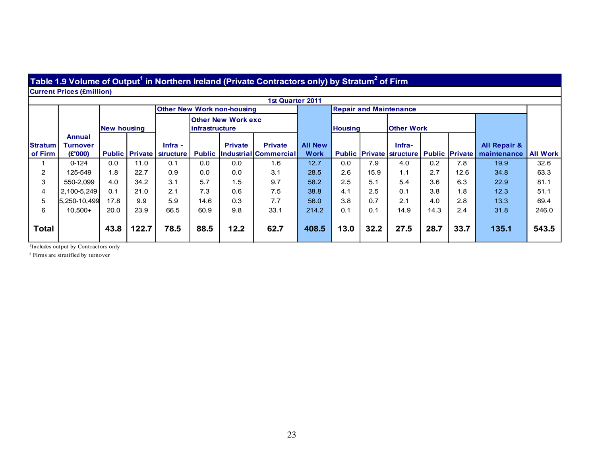#### **Table 1.9 Volume of Output1 in Northern Ireland (Private Contractors only) by Stratum2 of Firm**

**Current Prices (£million)**

|                           |                                      |                    |       |                                                  |                |                                   | 1st Quarter 2011                                      |                               |                |      |                                                          |      |      |                                        |                 |
|---------------------------|--------------------------------------|--------------------|-------|--------------------------------------------------|----------------|-----------------------------------|-------------------------------------------------------|-------------------------------|----------------|------|----------------------------------------------------------|------|------|----------------------------------------|-----------------|
|                           |                                      |                    |       |                                                  |                | <b>Other New Work non-housing</b> |                                                       |                               |                |      | <b>Repair and Maintenance</b>                            |      |      |                                        |                 |
|                           |                                      | <b>New housing</b> |       |                                                  | infrastructure | <b>Other New Work exc</b>         |                                                       |                               | <b>Housing</b> |      | <b>Other Work</b>                                        |      |      |                                        |                 |
| <b>Stratum</b><br>of Firm | Annual<br><b>Turnover</b><br>(E'000) |                    |       | $Infra -$<br><b>Public Private   structure  </b> |                | <b>Private</b>                    | <b>Private</b><br><b>Public Industrial Commercial</b> | <b>All New</b><br><b>Work</b> |                |      | Infra-<br><b>Public Private structure Public Private</b> |      |      | <b>All Repair &amp;</b><br>maintenance | <b>All Work</b> |
|                           | $0 - 124$                            | 0.0                | 11.0  | 0.1                                              | 0.0            | 0.0                               | 1.6                                                   | 12.7                          | 0.0            | 7.9  | 4.0                                                      | 0.2  | 7.8  | 19.9                                   | 32.6            |
| $\overline{2}$            | 125-549                              | 1.8                | 22.7  | 0.9                                              | 0.0            | 0.0                               | 3.1                                                   | 28.5                          | 2.6            | 15.9 | 1.1                                                      | 2.7  | 12.6 | 34.8                                   | 63.3            |
| 3                         | 550-2.099                            | 4.0                | 34.2  | 3.1                                              | 5.7            | 1.5                               | 9.7                                                   | 58.2                          | 2.5            | 5.1  | 5.4                                                      | 3.6  | 6.3  | 22.9                                   | 81.1            |
| $\overline{4}$            | 2,100-5,249                          | 0.1                | 21.0  | 2.1                                              | 7.3            | 0.6                               | 7.5                                                   | 38.8                          | 4.1            | 2.5  | 0.1                                                      | 3.8  | 1.8  | 12.3                                   | 51.1            |
| 5                         | 5,250-10,499                         | 17.8               | 9.9   | 5.9                                              | 14.6           | 0.3                               | 7.7                                                   | 56.0                          | 3.8            | 0.7  | 2.1                                                      | 4.0  | 2.8  | 13.3                                   | 69.4            |
| 6                         | $10,500+$                            | 20.0               | 23.9  | 66.5                                             | 60.9           | 9.8                               | 33.1                                                  | 214.2                         | 0.1            | 0.1  | 14.9                                                     | 14.3 | 2.4  | 31.8                                   | 246.0           |
| <b>Total</b>              |                                      | 43.8               | 122.7 | 78.5                                             | 88.5           | 12.2                              | 62.7                                                  | 408.5                         | 13.0           | 32.2 | 27.5                                                     | 28.7 | 33.7 | 135.1                                  | 543.5           |

<sup>1</sup>Includes output by Contractors only

2 Firms are stratified by turnover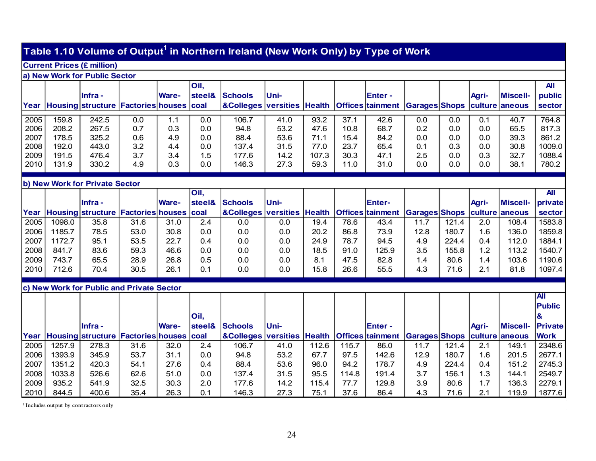### **Table 1.10 Volume of Output1 in Northern Ireland (New Work Only) by Type of Work**

#### **Current Prices (£ million)**

#### **a) New Work for Public Sector**

|      | ---------------- |                                              |     |              |                   |                                                                                 |             |       |      |               |     |     |       |                 |            |
|------|------------------|----------------------------------------------|-----|--------------|-------------------|---------------------------------------------------------------------------------|-------------|-------|------|---------------|-----|-----|-------|-----------------|------------|
|      |                  |                                              |     |              | Oil,              |                                                                                 |             |       |      |               |     |     |       |                 | <b>All</b> |
|      |                  | <b>Infra</b> -                               |     | <b>Ware-</b> | <b>steel&amp;</b> | <b>Schools</b>                                                                  | <b>Uni-</b> |       |      | <b>Enter-</b> |     |     | Agri- | <b>Miscell-</b> | public     |
| Year |                  | Housing structure   Factories  houses   coal |     |              |                   | <b>AColleges versities Health Offices tainment Garages Shops culture aneous</b> |             |       |      |               |     |     |       |                 | sector     |
|      |                  |                                              |     |              |                   |                                                                                 |             |       |      |               |     |     |       |                 |            |
| 2005 | 159.8            | 242.5                                        | 0.0 | 1.1          | 0.0               | 106.7                                                                           | 41.0        | 93.2  | 37.1 | 42.6          | 0.0 | 0.0 | 0.1   | 40.7            | 764.8      |
| 2006 | 208.2            | 267.5                                        | 0.7 | 0.3          | 0.0               | 94.8                                                                            | 53.2        | 47.6  | 10.8 | 68.7          | 0.2 | 0.0 | 0.0   | 65.5            | 817.3      |
| 2007 | 178.5            | 325.2                                        | 0.6 | 4.9          | 0.0               | 88.4                                                                            | 53.6        | 71.1  | 15.4 | 84.2          | 0.0 | 0.0 | 0.0   | 39.3            | 861.2      |
| 2008 | 192.0            | 443.0                                        | 3.2 | 4.4          | 0.0               | 137.4                                                                           | 31.5        | 77.0  | 23.7 | 65.4          | 0.1 | 0.3 | 0.0   | 30.8            | 1009.0     |
| 2009 | 191.5            | 476.4                                        | 3.7 | 3.4          | 1.5               | 177.6                                                                           | 14.2        | 107.3 | 30.3 | 47.1          | 2.5 | 0.0 | 0.3   | 32.7            | 1088.4     |
| 2010 | 131.9            | 330.2                                        | 4.9 | 0.3          | 0.0               | 146.3                                                                           | 27.3        | 59.3  | 11.0 | 31.0          | 0.0 | 0.0 | 0.0   | 38.1            | 780.2      |
|      |                  |                                              |     |              |                   |                                                                                 |             |       |      |               |     |     |       |                 |            |

#### **b) New Work for Private Sector**

|      |        |                                              |      |       | Oil,   |                                                                                 |             |      |      |               |      |       |       |                 | All     |
|------|--------|----------------------------------------------|------|-------|--------|---------------------------------------------------------------------------------|-------------|------|------|---------------|------|-------|-------|-----------------|---------|
|      |        | <b>Ilnfra</b> -                              |      | Ware- | steel& | Schools                                                                         | <b>Uni-</b> |      |      | <b>Enter-</b> |      |       | Agri- | <b>Miscell-</b> | private |
|      |        | Year Housing structure Factories houses coal |      |       |        | <b>AColleges versities Health Offices tainment Garages Shops culture aneous</b> |             |      |      |               |      |       |       |                 | sector  |
| 2005 | 1098.0 | 35.8                                         | 31.6 | 31.0  | 2.4    | 0.0                                                                             | 0.0         | 19.4 | 78.6 | 43.4          | 11.7 | 121.4 | 2.0   | 108.4           | 1583.8  |
| 2006 | 185.7  | 78.5                                         | 53.0 | 30.8  | 0.0    | 0.0                                                                             | 0.0         | 20.2 | 86.8 | 73.9          | 12.8 | 180.7 | 1.6   | 136.0           | 1859.8  |
| 2007 | 1172.7 | 95.1                                         | 53.5 | 22.7  | 0.4    | 0.0                                                                             | 0.0         | 24.9 | 78.7 | 94.5          | 4.9  | 224.4 | 0.4   | 112.0           | 1884.1  |
| 2008 | 841.7  | 83.6                                         | 59.3 | 46.6  | 0.0    | 0.0                                                                             | 0.0         | 18.5 | 91.0 | 125.9         | 3.5  | 155.8 | 1.2   | 113.2           | 1540.7  |
| 2009 | 743.7  | 65.5                                         | 28.9 | 26.8  | 0.5    | 0.0                                                                             | 0.0         | 8.1  | 47.5 | 82.8          | 1.4  | 80.6  | 1.4   | 103.6           | 1190.6  |
| 2010 | 712.6  | 70.4                                         | 30.5 | 26.1  | 0.1    | 0.0                                                                             | 0.0         | 15.8 | 26.6 | 55.5          | 4.3  | 71.6  | 2.1   | 81.8            | 1097.4  |

#### **c) New Work for Public and Private Sector**

|      |        |                                              |      |              |        |                                                                             |             |       |       |               |      |       |       |                  | <b>IK</b>     |
|------|--------|----------------------------------------------|------|--------------|--------|-----------------------------------------------------------------------------|-------------|-------|-------|---------------|------|-------|-------|------------------|---------------|
|      |        |                                              |      |              |        |                                                                             |             |       |       |               |      |       |       |                  | <b>Public</b> |
|      |        |                                              |      |              | Oil,   |                                                                             |             |       |       |               |      |       |       |                  |               |
|      |        | llnfra -                                     |      | <b>Ware-</b> | steel& | Schools                                                                     | <b>Uni-</b> |       |       | <b>Enter-</b> |      |       | Agri- | Miscell- Private |               |
|      |        | Year Housing structure Factories houses coal |      |              |        | &Colleges versities Health  Offices tainment  Garages Shops  culture aneous |             |       |       |               |      |       |       |                  | <b>Work</b>   |
| 2005 | 1257.9 | 278.3                                        | 31.6 | 32.0         | 2.4    | 106.7                                                                       | 41.0        | 112.6 | 115.7 | 86.0          | 11.7 | 121.4 | 2.1   | 149.1            | 2348.6        |
| 2006 | 1393.9 | 345.9                                        | 53.7 | 31.1         | 0.0    | 94.8                                                                        | 53.2        | 67.7  | 97.5  | 142.6         | 12.9 | 180.7 | 1.6   | 201.5            | 2677.1        |
| 2007 | 1351.2 | 420.3                                        | 54.1 | 27.6         | 0.4    | 88.4                                                                        | 53.6        | 96.0  | 94.2  | 178.7         | 4.9  | 224.4 | 0.4   | 151.2            | 2745.3        |
| 2008 | 1033.8 | 526.6                                        | 62.6 | 51.0         | 0.0    | 137.4                                                                       | 31.5        | 95.5  | 114.8 | 191.4         | 3.7  | 156.1 | 1.3   | 144.1            | 2549.7        |
| 2009 | 935.2  | 541.9                                        | 32.5 | 30.3         | 2.0    | 177.6                                                                       | 14.2        | 115.4 | 77.7  | 129.8         | 3.9  | 80.6  | 1.7   | 136.3            | 2279.1        |
| 2010 | 844.5  | 400.6                                        | 35.4 | 26.3         | 0.1    | 146.3                                                                       | 27.3        | 75.1  | 37.6  | 86.4          | 4.3  | 71.6  | 2.1   | 119.9            | 1877.6        |

<sup>1</sup> Includes output by contractors only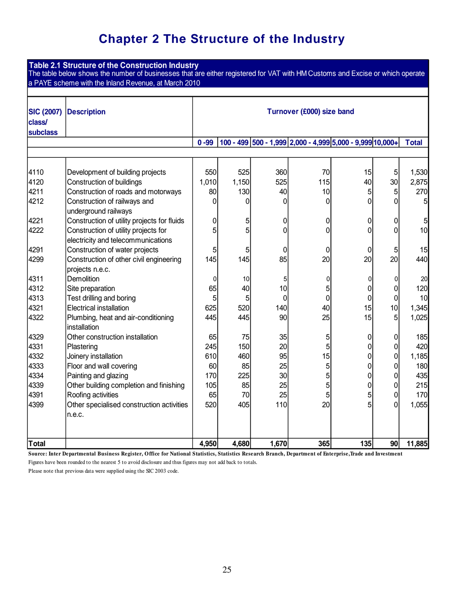### **Chapter 2 The Structure of the Industry**

|                   | Table 2.1 Structure of the Construction Industry<br>The table below shows the number of businesses that are either registered for VAT with HM Customs and Excise or which operate |          |       |                |                                                           |                |                 |              |  |
|-------------------|-----------------------------------------------------------------------------------------------------------------------------------------------------------------------------------|----------|-------|----------------|-----------------------------------------------------------|----------------|-----------------|--------------|--|
|                   | a PAYE scheme with the Inland Revenue, at March 2010                                                                                                                              |          |       |                |                                                           |                |                 |              |  |
|                   |                                                                                                                                                                                   |          |       |                |                                                           |                |                 |              |  |
| <b>SIC (2007)</b> | <b>Description</b>                                                                                                                                                                |          |       |                | Turnover (£000) size band                                 |                |                 |              |  |
| class/            |                                                                                                                                                                                   |          |       |                |                                                           |                |                 |              |  |
| subclass          |                                                                                                                                                                                   |          |       |                |                                                           |                |                 |              |  |
|                   |                                                                                                                                                                                   | $0 - 99$ |       |                | 100 - 499 500 - 1,999 2,000 - 4,999 5,000 - 9,999 10,000+ |                |                 | <b>Total</b> |  |
|                   |                                                                                                                                                                                   |          |       |                |                                                           |                |                 |              |  |
| 4110              | Development of building projects                                                                                                                                                  | 550      | 525   | 360            | 70                                                        | 15             | 5 <sup>5</sup>  | 1,530        |  |
| 4120              | <b>Construction of buildings</b>                                                                                                                                                  | 1,010    | 1,150 | 525            | 115                                                       | 40             | 30 <sup>°</sup> | 2,875        |  |
| 4211              | Construction of roads and motorways                                                                                                                                               | 80       | 130   | 40             | 10                                                        | 5              | 5 <sup>1</sup>  | 270          |  |
| 4212              | Construction of railways and<br>underground railways                                                                                                                              | 0        | 0     | 0              | 0                                                         | 0              | $\overline{0}$  | 5            |  |
| 4221              | Construction of utility projects for fluids                                                                                                                                       | 0        | 5     | 0              | 0                                                         | 0              | $\overline{0}$  | 5            |  |
| 4222              | Construction of utility projects for                                                                                                                                              | 5        | 5     | $\overline{0}$ | $\overline{0}$                                            | 0              | $\overline{0}$  | 10           |  |
|                   | electricity and telecommunications                                                                                                                                                |          |       |                |                                                           |                |                 |              |  |
| 4291              | Construction of water projects                                                                                                                                                    | 5        | 5     | 0              | 0                                                         | 0              | $\overline{5}$  | 15           |  |
| 4299              | Construction of other civil engineering                                                                                                                                           | 145      | 145   | 85             | 20                                                        | 20             | 20 <sup>1</sup> | 440          |  |
|                   | projects n.e.c.                                                                                                                                                                   |          |       |                |                                                           |                |                 |              |  |
| 4311              | Demolition                                                                                                                                                                        | 0        | 10    | 5              | $\pmb{0}$                                                 | $\overline{0}$ | $\overline{0}$  | 20           |  |
| 4312              | Site preparation                                                                                                                                                                  | 65       | 40    | 10             | 5                                                         | 0              | $\overline{0}$  | 120          |  |
| 4313              | Test drilling and boring                                                                                                                                                          | 5        | 5     | 0              | $\overline{0}$                                            | 0              | $\overline{0}$  | 10           |  |
| 4321              | <b>Electrical installation</b>                                                                                                                                                    | 625      | 520   | 140            | 40                                                        | 15             | 10              | 1,345        |  |
| 4322              | Plumbing, heat and air-conditioning                                                                                                                                               | 445      | 445   | 90             | 25                                                        | 15             | 5 <sup>1</sup>  | 1,025        |  |
|                   | installation                                                                                                                                                                      |          |       |                |                                                           |                |                 |              |  |
| 4329              | Other construction installation                                                                                                                                                   | 65       | 75    | 35             | 5                                                         | 0              | $\overline{0}$  | 185          |  |
| 4331              | Plastering                                                                                                                                                                        | 245      | 150   | 20             | 5                                                         | $\overline{0}$ | $\overline{0}$  | 420          |  |
| 4332              | Joinery installation                                                                                                                                                              | 610      | 460   | 95             | 15                                                        | 0              | $\overline{0}$  | 1,185        |  |
| 4333              | Floor and wall covering                                                                                                                                                           | 60       | 85    | 25             | 5                                                         | 0              | 0               | 180          |  |
| 4334              | Painting and glazing                                                                                                                                                              | 170      | 225   | 30             | 5                                                         | 0              | $\overline{0}$  | 435          |  |
| 4339              | Other building completion and finishing                                                                                                                                           | 105      | 85    | 25             | 5                                                         | 0              | $\overline{0}$  | 215          |  |
| 4391              | Roofing activities                                                                                                                                                                | 65       | 70    | 25             | 5                                                         | 5              | $\overline{0}$  | 170          |  |
| 4399              | Other specialised construction activities                                                                                                                                         | 520      | 405   | 110            | 20                                                        | 5              | 0               | 1,055        |  |
|                   | n.e.c.                                                                                                                                                                            |          |       |                |                                                           |                |                 |              |  |
| Total             |                                                                                                                                                                                   | 4,950    | 4,680 | 1,670          | 365                                                       | 135            | 90              | 11,885       |  |
|                   |                                                                                                                                                                                   |          |       |                |                                                           |                |                 |              |  |

Figures have been rounded to the nearest 5 to avoid disclosure and thus figures may not add back to totals. **Source: Inter Departmental Business Register, O ffice for National Statistics, Statistics Research Branch, Department of Enterprise,Trade and Investment**

Please note that previous data were supplied using the SIC 2003 code.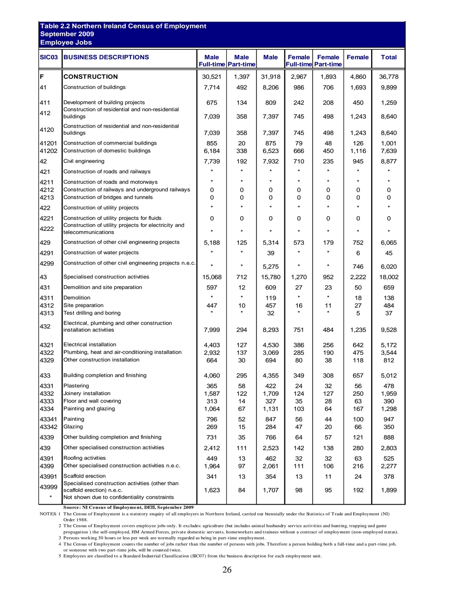| <b>Employee Jobs</b><br><b>BUSINESS DESCRIPTIONS</b><br><b>SIC03</b><br><b>Male</b><br><b>Male</b><br>Female<br><b>Male</b><br><b>Female</b><br>Female<br><b>Full-time Part-time</b><br><b>Full-time Part-time</b><br>F<br><b>CONSTRUCTION</b><br>30,521<br>1,397<br>31,918<br>2,967<br>1,893<br>4,860<br>41<br>Construction of buildings<br>7,714<br>492<br>8,206<br>986<br>706<br>1,693<br>411<br>Development of building projects<br>675<br>134<br>809<br>208<br>242<br>450<br>Construction of residential and non-residential<br>412<br>358<br>7,397<br>498<br>buildings<br>7,039<br>745<br>1,243<br>Construction of residential and non-residential<br>4120<br>7,039<br>buildings<br>358<br>7,397<br>745<br>498<br>1,243<br>41201<br>Construction of commercial buildings<br>855<br>20<br>875<br>79<br>48<br>126<br>338<br>666<br>41202<br>Construction of domestic buildings<br>6,184<br>6,523<br>450<br>1,116<br>42<br>Civil engineering<br>7,739<br>192<br>7,932<br>710<br>235<br>945<br>$\star$<br>$\star$<br>$\star$<br>421<br>$\star$<br>Construction of roads and railways<br>$\star$<br>$\star$<br>$\star$<br>$\star$<br>$\star$<br>$\ast$<br>4211<br>Construction of roads and motorways<br>4212<br>Construction of railways and underground railways<br>0<br>0<br>0<br>0<br>0<br>0<br>4213<br>Construction of bridges and tunnels<br>0<br>0<br>0<br>0<br>0<br>0<br>$\star$<br>$\star$<br>$\star$<br>$\star$<br>$\star$<br>$\star$<br>422<br>Construction of utility projects<br>4221<br>0<br>Construction of utility projects for fluids<br>0<br>0<br>0<br>0<br>0<br>Construction of utility projects for electricity and<br>4222<br>$\star$<br>$\star$<br>$\star$<br>$\star$<br>$\star$<br>$\star$<br>telecommunications<br>Construction of other civil engineering projects<br>429<br>5,188<br>125<br>5,314<br>179<br>752<br>573<br>$\star$<br>$\star$<br>Construction of water projects<br>4291<br>39<br>6<br>Construction of other civil engineering projects n.e.c.<br>4299<br>ź.<br>$^{\star}$<br>$\star$<br>$\star$<br>5,275<br>746<br>43<br>712<br>15,780<br>2,222<br>Specialised construction activities<br>15,068<br>1,270<br>952<br>431<br>Demolition and site preparation<br>597<br>12<br>609<br>23<br>50<br>27<br>$\star$<br>$\star$<br>$\star$<br>Demolition<br>4311<br>119<br>18<br>4312<br>Site preparation<br>457<br>27<br>447<br>10<br>16<br>11<br>$\star$<br>32<br>$\star$<br>5<br>4313<br>Test drilling and boring<br>Electrical, plumbing and other construction<br>432<br>7,999<br>294<br>8,293<br>751<br>installation activities<br>484<br>1,235<br>Electrical installation<br>4321<br>4,403<br>127<br>4,530<br>386<br>256<br>642<br>Plumbing, heat and air-conditioning installation<br>4322<br>2,932<br>137<br>3,069<br>285<br>190<br>475<br>4329<br>Other construction installation<br>664<br>30<br>694<br>80<br>38<br>118<br>433<br>Building completion and finishing<br>4,060<br>295<br>4,355<br>349<br>308<br>657<br>4331<br>Plastering<br>365<br>58<br>422<br>32<br>56<br>24<br>4332<br>Joinery installation<br>1,587<br>122<br>1,709<br>124<br>127<br>250<br>4333<br>Floor and wall covering<br>313<br>14<br>327<br>35<br>28<br>63<br>4334<br>Painting and glazing<br>1,064<br>67<br>1,131<br>103<br>167<br>64<br>43341<br>44<br>Painting<br>796<br>52<br>847<br>56<br>100<br>43342<br>Glazing<br>269<br>15<br>284<br>47<br>20<br>66<br>731<br>4339<br>Other building completion and finishing<br>35<br>766<br>64<br>121<br>57<br>Other specialised construction activities<br>439<br>111<br>138<br>280<br>2,412<br>2,523<br>142<br>Roofing activities<br>4391<br>449<br>13<br>462<br>32<br>32<br>63<br>Other specialised construction activities n.e.c.<br>4399<br>1,964<br>97<br>111<br>106<br>216<br>2,061<br>Scaffold erection<br>43991<br>341<br>354<br>13<br>11<br>13<br>24 | <b>Table 2.2 Northern Ireland Census of Employment</b><br>September 2009 |  |  |  |                |
|---------------------------------------------------------------------------------------------------------------------------------------------------------------------------------------------------------------------------------------------------------------------------------------------------------------------------------------------------------------------------------------------------------------------------------------------------------------------------------------------------------------------------------------------------------------------------------------------------------------------------------------------------------------------------------------------------------------------------------------------------------------------------------------------------------------------------------------------------------------------------------------------------------------------------------------------------------------------------------------------------------------------------------------------------------------------------------------------------------------------------------------------------------------------------------------------------------------------------------------------------------------------------------------------------------------------------------------------------------------------------------------------------------------------------------------------------------------------------------------------------------------------------------------------------------------------------------------------------------------------------------------------------------------------------------------------------------------------------------------------------------------------------------------------------------------------------------------------------------------------------------------------------------------------------------------------------------------------------------------------------------------------------------------------------------------------------------------------------------------------------------------------------------------------------------------------------------------------------------------------------------------------------------------------------------------------------------------------------------------------------------------------------------------------------------------------------------------------------------------------------------------------------------------------------------------------------------------------------------------------------------------------------------------------------------------------------------------------------------------------------------------------------------------------------------------------------------------------------------------------------------------------------------------------------------------------------------------------------------------------------------------------------------------------------------------------------------------------------------------------------------------------------------------------------------------------------------------------------------------------------------------------------------------------------------------------------------------------------------------------------------------------------------------------------------------------------------------------------------------------------------------------------------------------------------------------------------------------------------------------------------------------------------------------------------------------------------------------------------------------------------------------------------------------------------------------------------|--------------------------------------------------------------------------|--|--|--|----------------|
|                                                                                                                                                                                                                                                                                                                                                                                                                                                                                                                                                                                                                                                                                                                                                                                                                                                                                                                                                                                                                                                                                                                                                                                                                                                                                                                                                                                                                                                                                                                                                                                                                                                                                                                                                                                                                                                                                                                                                                                                                                                                                                                                                                                                                                                                                                                                                                                                                                                                                                                                                                                                                                                                                                                                                                                                                                                                                                                                                                                                                                                                                                                                                                                                                                                                                                                                                                                                                                                                                                                                                                                                                                                                                                                                                                                                                                 |                                                                          |  |  |  |                |
|                                                                                                                                                                                                                                                                                                                                                                                                                                                                                                                                                                                                                                                                                                                                                                                                                                                                                                                                                                                                                                                                                                                                                                                                                                                                                                                                                                                                                                                                                                                                                                                                                                                                                                                                                                                                                                                                                                                                                                                                                                                                                                                                                                                                                                                                                                                                                                                                                                                                                                                                                                                                                                                                                                                                                                                                                                                                                                                                                                                                                                                                                                                                                                                                                                                                                                                                                                                                                                                                                                                                                                                                                                                                                                                                                                                                                                 |                                                                          |  |  |  | <b>Total</b>   |
|                                                                                                                                                                                                                                                                                                                                                                                                                                                                                                                                                                                                                                                                                                                                                                                                                                                                                                                                                                                                                                                                                                                                                                                                                                                                                                                                                                                                                                                                                                                                                                                                                                                                                                                                                                                                                                                                                                                                                                                                                                                                                                                                                                                                                                                                                                                                                                                                                                                                                                                                                                                                                                                                                                                                                                                                                                                                                                                                                                                                                                                                                                                                                                                                                                                                                                                                                                                                                                                                                                                                                                                                                                                                                                                                                                                                                                 |                                                                          |  |  |  | 36,778         |
|                                                                                                                                                                                                                                                                                                                                                                                                                                                                                                                                                                                                                                                                                                                                                                                                                                                                                                                                                                                                                                                                                                                                                                                                                                                                                                                                                                                                                                                                                                                                                                                                                                                                                                                                                                                                                                                                                                                                                                                                                                                                                                                                                                                                                                                                                                                                                                                                                                                                                                                                                                                                                                                                                                                                                                                                                                                                                                                                                                                                                                                                                                                                                                                                                                                                                                                                                                                                                                                                                                                                                                                                                                                                                                                                                                                                                                 |                                                                          |  |  |  | 9,899          |
|                                                                                                                                                                                                                                                                                                                                                                                                                                                                                                                                                                                                                                                                                                                                                                                                                                                                                                                                                                                                                                                                                                                                                                                                                                                                                                                                                                                                                                                                                                                                                                                                                                                                                                                                                                                                                                                                                                                                                                                                                                                                                                                                                                                                                                                                                                                                                                                                                                                                                                                                                                                                                                                                                                                                                                                                                                                                                                                                                                                                                                                                                                                                                                                                                                                                                                                                                                                                                                                                                                                                                                                                                                                                                                                                                                                                                                 |                                                                          |  |  |  | 1,259          |
|                                                                                                                                                                                                                                                                                                                                                                                                                                                                                                                                                                                                                                                                                                                                                                                                                                                                                                                                                                                                                                                                                                                                                                                                                                                                                                                                                                                                                                                                                                                                                                                                                                                                                                                                                                                                                                                                                                                                                                                                                                                                                                                                                                                                                                                                                                                                                                                                                                                                                                                                                                                                                                                                                                                                                                                                                                                                                                                                                                                                                                                                                                                                                                                                                                                                                                                                                                                                                                                                                                                                                                                                                                                                                                                                                                                                                                 |                                                                          |  |  |  | 8,640          |
|                                                                                                                                                                                                                                                                                                                                                                                                                                                                                                                                                                                                                                                                                                                                                                                                                                                                                                                                                                                                                                                                                                                                                                                                                                                                                                                                                                                                                                                                                                                                                                                                                                                                                                                                                                                                                                                                                                                                                                                                                                                                                                                                                                                                                                                                                                                                                                                                                                                                                                                                                                                                                                                                                                                                                                                                                                                                                                                                                                                                                                                                                                                                                                                                                                                                                                                                                                                                                                                                                                                                                                                                                                                                                                                                                                                                                                 |                                                                          |  |  |  | 8,640          |
|                                                                                                                                                                                                                                                                                                                                                                                                                                                                                                                                                                                                                                                                                                                                                                                                                                                                                                                                                                                                                                                                                                                                                                                                                                                                                                                                                                                                                                                                                                                                                                                                                                                                                                                                                                                                                                                                                                                                                                                                                                                                                                                                                                                                                                                                                                                                                                                                                                                                                                                                                                                                                                                                                                                                                                                                                                                                                                                                                                                                                                                                                                                                                                                                                                                                                                                                                                                                                                                                                                                                                                                                                                                                                                                                                                                                                                 |                                                                          |  |  |  | 1,001<br>7,639 |
|                                                                                                                                                                                                                                                                                                                                                                                                                                                                                                                                                                                                                                                                                                                                                                                                                                                                                                                                                                                                                                                                                                                                                                                                                                                                                                                                                                                                                                                                                                                                                                                                                                                                                                                                                                                                                                                                                                                                                                                                                                                                                                                                                                                                                                                                                                                                                                                                                                                                                                                                                                                                                                                                                                                                                                                                                                                                                                                                                                                                                                                                                                                                                                                                                                                                                                                                                                                                                                                                                                                                                                                                                                                                                                                                                                                                                                 |                                                                          |  |  |  | 8,877          |
|                                                                                                                                                                                                                                                                                                                                                                                                                                                                                                                                                                                                                                                                                                                                                                                                                                                                                                                                                                                                                                                                                                                                                                                                                                                                                                                                                                                                                                                                                                                                                                                                                                                                                                                                                                                                                                                                                                                                                                                                                                                                                                                                                                                                                                                                                                                                                                                                                                                                                                                                                                                                                                                                                                                                                                                                                                                                                                                                                                                                                                                                                                                                                                                                                                                                                                                                                                                                                                                                                                                                                                                                                                                                                                                                                                                                                                 |                                                                          |  |  |  |                |
|                                                                                                                                                                                                                                                                                                                                                                                                                                                                                                                                                                                                                                                                                                                                                                                                                                                                                                                                                                                                                                                                                                                                                                                                                                                                                                                                                                                                                                                                                                                                                                                                                                                                                                                                                                                                                                                                                                                                                                                                                                                                                                                                                                                                                                                                                                                                                                                                                                                                                                                                                                                                                                                                                                                                                                                                                                                                                                                                                                                                                                                                                                                                                                                                                                                                                                                                                                                                                                                                                                                                                                                                                                                                                                                                                                                                                                 |                                                                          |  |  |  | 0<br>0         |
|                                                                                                                                                                                                                                                                                                                                                                                                                                                                                                                                                                                                                                                                                                                                                                                                                                                                                                                                                                                                                                                                                                                                                                                                                                                                                                                                                                                                                                                                                                                                                                                                                                                                                                                                                                                                                                                                                                                                                                                                                                                                                                                                                                                                                                                                                                                                                                                                                                                                                                                                                                                                                                                                                                                                                                                                                                                                                                                                                                                                                                                                                                                                                                                                                                                                                                                                                                                                                                                                                                                                                                                                                                                                                                                                                                                                                                 |                                                                          |  |  |  |                |
|                                                                                                                                                                                                                                                                                                                                                                                                                                                                                                                                                                                                                                                                                                                                                                                                                                                                                                                                                                                                                                                                                                                                                                                                                                                                                                                                                                                                                                                                                                                                                                                                                                                                                                                                                                                                                                                                                                                                                                                                                                                                                                                                                                                                                                                                                                                                                                                                                                                                                                                                                                                                                                                                                                                                                                                                                                                                                                                                                                                                                                                                                                                                                                                                                                                                                                                                                                                                                                                                                                                                                                                                                                                                                                                                                                                                                                 |                                                                          |  |  |  | 0              |
|                                                                                                                                                                                                                                                                                                                                                                                                                                                                                                                                                                                                                                                                                                                                                                                                                                                                                                                                                                                                                                                                                                                                                                                                                                                                                                                                                                                                                                                                                                                                                                                                                                                                                                                                                                                                                                                                                                                                                                                                                                                                                                                                                                                                                                                                                                                                                                                                                                                                                                                                                                                                                                                                                                                                                                                                                                                                                                                                                                                                                                                                                                                                                                                                                                                                                                                                                                                                                                                                                                                                                                                                                                                                                                                                                                                                                                 |                                                                          |  |  |  |                |
|                                                                                                                                                                                                                                                                                                                                                                                                                                                                                                                                                                                                                                                                                                                                                                                                                                                                                                                                                                                                                                                                                                                                                                                                                                                                                                                                                                                                                                                                                                                                                                                                                                                                                                                                                                                                                                                                                                                                                                                                                                                                                                                                                                                                                                                                                                                                                                                                                                                                                                                                                                                                                                                                                                                                                                                                                                                                                                                                                                                                                                                                                                                                                                                                                                                                                                                                                                                                                                                                                                                                                                                                                                                                                                                                                                                                                                 |                                                                          |  |  |  | 6,065          |
|                                                                                                                                                                                                                                                                                                                                                                                                                                                                                                                                                                                                                                                                                                                                                                                                                                                                                                                                                                                                                                                                                                                                                                                                                                                                                                                                                                                                                                                                                                                                                                                                                                                                                                                                                                                                                                                                                                                                                                                                                                                                                                                                                                                                                                                                                                                                                                                                                                                                                                                                                                                                                                                                                                                                                                                                                                                                                                                                                                                                                                                                                                                                                                                                                                                                                                                                                                                                                                                                                                                                                                                                                                                                                                                                                                                                                                 |                                                                          |  |  |  | 45             |
|                                                                                                                                                                                                                                                                                                                                                                                                                                                                                                                                                                                                                                                                                                                                                                                                                                                                                                                                                                                                                                                                                                                                                                                                                                                                                                                                                                                                                                                                                                                                                                                                                                                                                                                                                                                                                                                                                                                                                                                                                                                                                                                                                                                                                                                                                                                                                                                                                                                                                                                                                                                                                                                                                                                                                                                                                                                                                                                                                                                                                                                                                                                                                                                                                                                                                                                                                                                                                                                                                                                                                                                                                                                                                                                                                                                                                                 |                                                                          |  |  |  | 6,020          |
|                                                                                                                                                                                                                                                                                                                                                                                                                                                                                                                                                                                                                                                                                                                                                                                                                                                                                                                                                                                                                                                                                                                                                                                                                                                                                                                                                                                                                                                                                                                                                                                                                                                                                                                                                                                                                                                                                                                                                                                                                                                                                                                                                                                                                                                                                                                                                                                                                                                                                                                                                                                                                                                                                                                                                                                                                                                                                                                                                                                                                                                                                                                                                                                                                                                                                                                                                                                                                                                                                                                                                                                                                                                                                                                                                                                                                                 |                                                                          |  |  |  | 18,002         |
|                                                                                                                                                                                                                                                                                                                                                                                                                                                                                                                                                                                                                                                                                                                                                                                                                                                                                                                                                                                                                                                                                                                                                                                                                                                                                                                                                                                                                                                                                                                                                                                                                                                                                                                                                                                                                                                                                                                                                                                                                                                                                                                                                                                                                                                                                                                                                                                                                                                                                                                                                                                                                                                                                                                                                                                                                                                                                                                                                                                                                                                                                                                                                                                                                                                                                                                                                                                                                                                                                                                                                                                                                                                                                                                                                                                                                                 |                                                                          |  |  |  | 659            |
|                                                                                                                                                                                                                                                                                                                                                                                                                                                                                                                                                                                                                                                                                                                                                                                                                                                                                                                                                                                                                                                                                                                                                                                                                                                                                                                                                                                                                                                                                                                                                                                                                                                                                                                                                                                                                                                                                                                                                                                                                                                                                                                                                                                                                                                                                                                                                                                                                                                                                                                                                                                                                                                                                                                                                                                                                                                                                                                                                                                                                                                                                                                                                                                                                                                                                                                                                                                                                                                                                                                                                                                                                                                                                                                                                                                                                                 |                                                                          |  |  |  | 138            |
|                                                                                                                                                                                                                                                                                                                                                                                                                                                                                                                                                                                                                                                                                                                                                                                                                                                                                                                                                                                                                                                                                                                                                                                                                                                                                                                                                                                                                                                                                                                                                                                                                                                                                                                                                                                                                                                                                                                                                                                                                                                                                                                                                                                                                                                                                                                                                                                                                                                                                                                                                                                                                                                                                                                                                                                                                                                                                                                                                                                                                                                                                                                                                                                                                                                                                                                                                                                                                                                                                                                                                                                                                                                                                                                                                                                                                                 |                                                                          |  |  |  | 484<br>37      |
|                                                                                                                                                                                                                                                                                                                                                                                                                                                                                                                                                                                                                                                                                                                                                                                                                                                                                                                                                                                                                                                                                                                                                                                                                                                                                                                                                                                                                                                                                                                                                                                                                                                                                                                                                                                                                                                                                                                                                                                                                                                                                                                                                                                                                                                                                                                                                                                                                                                                                                                                                                                                                                                                                                                                                                                                                                                                                                                                                                                                                                                                                                                                                                                                                                                                                                                                                                                                                                                                                                                                                                                                                                                                                                                                                                                                                                 |                                                                          |  |  |  | 9,528          |
|                                                                                                                                                                                                                                                                                                                                                                                                                                                                                                                                                                                                                                                                                                                                                                                                                                                                                                                                                                                                                                                                                                                                                                                                                                                                                                                                                                                                                                                                                                                                                                                                                                                                                                                                                                                                                                                                                                                                                                                                                                                                                                                                                                                                                                                                                                                                                                                                                                                                                                                                                                                                                                                                                                                                                                                                                                                                                                                                                                                                                                                                                                                                                                                                                                                                                                                                                                                                                                                                                                                                                                                                                                                                                                                                                                                                                                 |                                                                          |  |  |  | 5,172          |
|                                                                                                                                                                                                                                                                                                                                                                                                                                                                                                                                                                                                                                                                                                                                                                                                                                                                                                                                                                                                                                                                                                                                                                                                                                                                                                                                                                                                                                                                                                                                                                                                                                                                                                                                                                                                                                                                                                                                                                                                                                                                                                                                                                                                                                                                                                                                                                                                                                                                                                                                                                                                                                                                                                                                                                                                                                                                                                                                                                                                                                                                                                                                                                                                                                                                                                                                                                                                                                                                                                                                                                                                                                                                                                                                                                                                                                 |                                                                          |  |  |  | 3,544          |
|                                                                                                                                                                                                                                                                                                                                                                                                                                                                                                                                                                                                                                                                                                                                                                                                                                                                                                                                                                                                                                                                                                                                                                                                                                                                                                                                                                                                                                                                                                                                                                                                                                                                                                                                                                                                                                                                                                                                                                                                                                                                                                                                                                                                                                                                                                                                                                                                                                                                                                                                                                                                                                                                                                                                                                                                                                                                                                                                                                                                                                                                                                                                                                                                                                                                                                                                                                                                                                                                                                                                                                                                                                                                                                                                                                                                                                 |                                                                          |  |  |  | 812            |
|                                                                                                                                                                                                                                                                                                                                                                                                                                                                                                                                                                                                                                                                                                                                                                                                                                                                                                                                                                                                                                                                                                                                                                                                                                                                                                                                                                                                                                                                                                                                                                                                                                                                                                                                                                                                                                                                                                                                                                                                                                                                                                                                                                                                                                                                                                                                                                                                                                                                                                                                                                                                                                                                                                                                                                                                                                                                                                                                                                                                                                                                                                                                                                                                                                                                                                                                                                                                                                                                                                                                                                                                                                                                                                                                                                                                                                 |                                                                          |  |  |  | 5,012          |
|                                                                                                                                                                                                                                                                                                                                                                                                                                                                                                                                                                                                                                                                                                                                                                                                                                                                                                                                                                                                                                                                                                                                                                                                                                                                                                                                                                                                                                                                                                                                                                                                                                                                                                                                                                                                                                                                                                                                                                                                                                                                                                                                                                                                                                                                                                                                                                                                                                                                                                                                                                                                                                                                                                                                                                                                                                                                                                                                                                                                                                                                                                                                                                                                                                                                                                                                                                                                                                                                                                                                                                                                                                                                                                                                                                                                                                 |                                                                          |  |  |  | 478<br>1,959   |
|                                                                                                                                                                                                                                                                                                                                                                                                                                                                                                                                                                                                                                                                                                                                                                                                                                                                                                                                                                                                                                                                                                                                                                                                                                                                                                                                                                                                                                                                                                                                                                                                                                                                                                                                                                                                                                                                                                                                                                                                                                                                                                                                                                                                                                                                                                                                                                                                                                                                                                                                                                                                                                                                                                                                                                                                                                                                                                                                                                                                                                                                                                                                                                                                                                                                                                                                                                                                                                                                                                                                                                                                                                                                                                                                                                                                                                 |                                                                          |  |  |  | 390            |
|                                                                                                                                                                                                                                                                                                                                                                                                                                                                                                                                                                                                                                                                                                                                                                                                                                                                                                                                                                                                                                                                                                                                                                                                                                                                                                                                                                                                                                                                                                                                                                                                                                                                                                                                                                                                                                                                                                                                                                                                                                                                                                                                                                                                                                                                                                                                                                                                                                                                                                                                                                                                                                                                                                                                                                                                                                                                                                                                                                                                                                                                                                                                                                                                                                                                                                                                                                                                                                                                                                                                                                                                                                                                                                                                                                                                                                 |                                                                          |  |  |  | 1,298          |
|                                                                                                                                                                                                                                                                                                                                                                                                                                                                                                                                                                                                                                                                                                                                                                                                                                                                                                                                                                                                                                                                                                                                                                                                                                                                                                                                                                                                                                                                                                                                                                                                                                                                                                                                                                                                                                                                                                                                                                                                                                                                                                                                                                                                                                                                                                                                                                                                                                                                                                                                                                                                                                                                                                                                                                                                                                                                                                                                                                                                                                                                                                                                                                                                                                                                                                                                                                                                                                                                                                                                                                                                                                                                                                                                                                                                                                 |                                                                          |  |  |  | 947<br>350     |
|                                                                                                                                                                                                                                                                                                                                                                                                                                                                                                                                                                                                                                                                                                                                                                                                                                                                                                                                                                                                                                                                                                                                                                                                                                                                                                                                                                                                                                                                                                                                                                                                                                                                                                                                                                                                                                                                                                                                                                                                                                                                                                                                                                                                                                                                                                                                                                                                                                                                                                                                                                                                                                                                                                                                                                                                                                                                                                                                                                                                                                                                                                                                                                                                                                                                                                                                                                                                                                                                                                                                                                                                                                                                                                                                                                                                                                 |                                                                          |  |  |  | 888            |
|                                                                                                                                                                                                                                                                                                                                                                                                                                                                                                                                                                                                                                                                                                                                                                                                                                                                                                                                                                                                                                                                                                                                                                                                                                                                                                                                                                                                                                                                                                                                                                                                                                                                                                                                                                                                                                                                                                                                                                                                                                                                                                                                                                                                                                                                                                                                                                                                                                                                                                                                                                                                                                                                                                                                                                                                                                                                                                                                                                                                                                                                                                                                                                                                                                                                                                                                                                                                                                                                                                                                                                                                                                                                                                                                                                                                                                 |                                                                          |  |  |  | 2,803          |
|                                                                                                                                                                                                                                                                                                                                                                                                                                                                                                                                                                                                                                                                                                                                                                                                                                                                                                                                                                                                                                                                                                                                                                                                                                                                                                                                                                                                                                                                                                                                                                                                                                                                                                                                                                                                                                                                                                                                                                                                                                                                                                                                                                                                                                                                                                                                                                                                                                                                                                                                                                                                                                                                                                                                                                                                                                                                                                                                                                                                                                                                                                                                                                                                                                                                                                                                                                                                                                                                                                                                                                                                                                                                                                                                                                                                                                 |                                                                          |  |  |  | 525<br>2,277   |
|                                                                                                                                                                                                                                                                                                                                                                                                                                                                                                                                                                                                                                                                                                                                                                                                                                                                                                                                                                                                                                                                                                                                                                                                                                                                                                                                                                                                                                                                                                                                                                                                                                                                                                                                                                                                                                                                                                                                                                                                                                                                                                                                                                                                                                                                                                                                                                                                                                                                                                                                                                                                                                                                                                                                                                                                                                                                                                                                                                                                                                                                                                                                                                                                                                                                                                                                                                                                                                                                                                                                                                                                                                                                                                                                                                                                                                 |                                                                          |  |  |  | 378            |
| 43999<br>84<br>98<br>95<br>192<br>scaffold erection) n.e.c.<br>1,623<br>1,707<br>$\star$<br>Not shown due to confidentiality constraints                                                                                                                                                                                                                                                                                                                                                                                                                                                                                                                                                                                                                                                                                                                                                                                                                                                                                                                                                                                                                                                                                                                                                                                                                                                                                                                                                                                                                                                                                                                                                                                                                                                                                                                                                                                                                                                                                                                                                                                                                                                                                                                                                                                                                                                                                                                                                                                                                                                                                                                                                                                                                                                                                                                                                                                                                                                                                                                                                                                                                                                                                                                                                                                                                                                                                                                                                                                                                                                                                                                                                                                                                                                                                        | Specialised construction activities (other than                          |  |  |  | 1,899          |

**Source: NI Census of Employment, DETI, September 2009**

NOTES: 1 The Census of Employment is a statutory enquiry of all employers in Northern Ireland, carried out biennially under the Statistics of Trade and Employment (NI) Order 1988.

2 The Census of Employment covers employee jobs only. It excludes: agriculture (but includes animal husbandry service activities and hunting, trapping and game propagation ) the self-employed, HM Armed Forces, private domestic servants, homeworkers and trainees without a contract of employment (non-employed status).

3 Persons working 30 hours or less per week are normally regarded as being in part-time employment.

4 The Census of Employment counts the number of jobs rather than the number of persons with jobs. Therefore a person holding both a full-time and a part-time job, or someone with two part-time jobs, will be counted twice.

5 Employees are classified to a Standard Industrial Classification (SIC07) from the business description for each employment unit.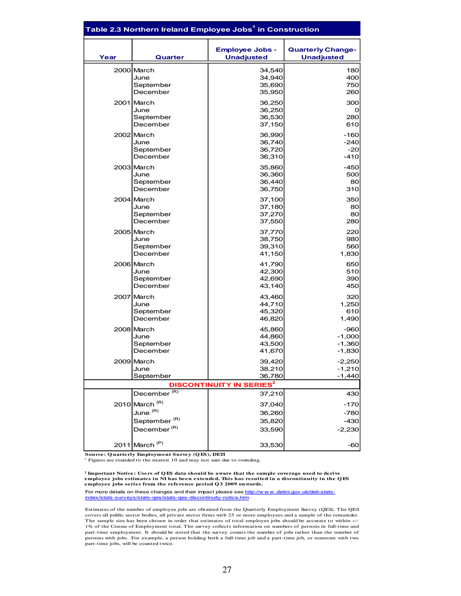|      | Table 2.3 Northern Ireland Employee Jobs $^{\rm 1}$ in Construction |                                             |                                               |
|------|---------------------------------------------------------------------|---------------------------------------------|-----------------------------------------------|
| Year | Quarter                                                             | <b>Employee Jobs -</b><br><b>Unadjusted</b> | <b>Quarterly Change-</b><br><b>Unadjusted</b> |
|      | 2000 March                                                          | 34,540                                      | 180                                           |
|      | June                                                                | 34,940                                      | 400                                           |
|      | September                                                           | 35,690                                      | 750                                           |
|      | December                                                            | 35,950                                      | 260                                           |
|      | 2001 March                                                          | 36,250                                      | 300                                           |
|      | June                                                                | 36,250                                      | O                                             |
|      | September                                                           | 36,530                                      | 280                                           |
|      | December                                                            | 37,150                                      | 610                                           |
|      | 2002 March                                                          | 36,990                                      | $-160$                                        |
|      | June                                                                | 36,740                                      | $-240$                                        |
|      | September                                                           | 36,720                                      | $-20$                                         |
|      | December                                                            | 36,310                                      | $-410$                                        |
|      | 2003 March                                                          | 35,860                                      | $-450$                                        |
|      | June                                                                | 36,360                                      | 500                                           |
|      | September                                                           | 36,440                                      | 80                                            |
|      | December                                                            | 36,750                                      | 310                                           |
|      | 2004 March                                                          | 37,100                                      | 350                                           |
|      | June                                                                | 37,180                                      | 80                                            |
|      | September                                                           | 37,270                                      | 80                                            |
|      | December                                                            | 37,550                                      | 280                                           |
|      | 2005 March                                                          | 37,770                                      | 220                                           |
|      | June                                                                | 38,750                                      | 980                                           |
|      | September                                                           | 39,310                                      | 560                                           |
|      | December                                                            | 41,150                                      | 1,830                                         |
|      | 2006 March                                                          | 41,790                                      | 650                                           |
|      | June                                                                | 42,300                                      | 510                                           |
|      | September                                                           | 42,690                                      | 390                                           |
|      | December                                                            | 43,140                                      | 450                                           |
|      | 2007 March                                                          | 43,460                                      | 320                                           |
|      | June                                                                | 44,710                                      | 1,250                                         |
|      | September                                                           | 45,320                                      | 610                                           |
|      | December                                                            | 46,820                                      | 1,490                                         |
|      | 2008 March                                                          | 45,860                                      | $-960$                                        |
|      | June                                                                | 44,860                                      | $-1,000$                                      |
|      | September                                                           | 43,500                                      | $-1,360$                                      |
|      | December                                                            | 41,670                                      | $-1,830$                                      |
|      | 2009 March                                                          | 39,420                                      | $-2,250$                                      |
|      | June                                                                | 38,210                                      | $-1,210$                                      |
|      | September                                                           | 36,780                                      | $-1,440$                                      |
|      |                                                                     | <b>DISCONTINUITY IN SERIES<sup>2</sup></b>  |                                               |
|      | December <sup>(R)</sup>                                             | 37,210                                      | 430                                           |
|      | 2010 March <sup>(R)</sup>                                           | 37,040                                      | -170                                          |
|      | June <sup>(R)</sup>                                                 | 36,260                                      | -780                                          |
|      | September <sup>(R)</sup>                                            | 35,820                                      | $-430$                                        |
|      | December <sup>(R)</sup>                                             | 33,590                                      | $-2,230$                                      |
|      | 2011 March <sup>(P)</sup>                                           | 33,530                                      | -60                                           |

**Source: Q uarterly Employment Survey (Q ES), DETI**

<sup>1</sup> Figures are rounded to the nearest 10 and may not sum due to rounding.

**2 Important Notice: Users of Q ES data should be aware that the sample coverage used to derive employee jobs estimates in NI has been extended. This has resulted in a discontinuity in the QES employee jobs series from the reference period Q 3 2009 onwards.**

For more details on these changes and their impact please see http://www.detini.gov.uk/deti-statsindex/stats-surveys/stats-qes/stats-qes-discontinuity-notice.htm

Estimates of the number of employee jobs are obtained from the Quarterly Employment Survey (QES). The QES covers all public sector bodies, all private sector firms with 25 or more employees and a sample of the remainder. The sample size has been chosen in order that estimates of total employee jobs should be accurate to within +/- 1% of the Census of Employment total. The survey collects information on numbers of persons in full-time and part-time employment. It should be noted that the survey counts the number of jobs rather than the number of persons with jobs. For example, a person holding both a full-time job and a part-time job, or someone with two part-time jobs, will be counted twice.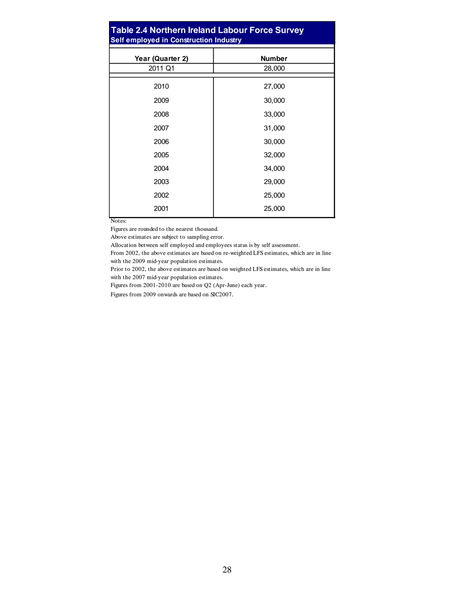#### **Table 2.4 Northern Ireland Labour Force Survey Self employed in Construction Industry**

| Year (Quarter 2) | <b>Number</b> |
|------------------|---------------|
| 2011 Q1          | 28,000        |
|                  |               |
| 2010             | 27,000        |
| 2009             | 30,000        |
| 2008             | 33,000        |
| 2007             | 31,000        |
| 2006             | 30,000        |
| 2005             | 32,000        |
| 2004             | 34,000        |
| 2003             | 29,000        |
| 2002             | 25,000        |
| 2001             | 25,000        |
|                  |               |

Notes:

Figures are rounded to the nearest thousand.

Above estimates are subject to sampling error.

Allocation between self employed and employees status is by self assessment.

From 2002, the above estimates are based on re-weighted LFS estimates, which are in line with the 2009 mid-year population estimates.

Prior to 2002, the above estimates are based on weighted LFS estimates, which are in line with the 2007 mid-year population estimates.

Figures from 2001-2010 are based on Q2 (Apr-June) each year.

Figures from 2009 onwards are based on SIC2007.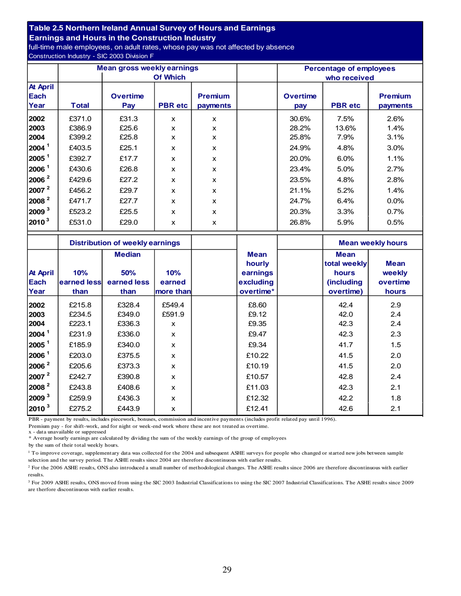#### **Table 2.5 Northern Ireland Annual Survey of Hours and Earnings**

**Earnings and Hours in the Construction Industry**

full-time male employees, on adult rates, whose pay was not affected by absence Construction Industry - SIC 2003 Division F

|                   |              | <b>Mean gross weekly earnings</b> |                | <b>Percentage of employees</b> |  |                 |                |                |  |
|-------------------|--------------|-----------------------------------|----------------|--------------------------------|--|-----------------|----------------|----------------|--|
|                   |              | <b>Of Which</b>                   |                |                                |  | who received    |                |                |  |
| <b>At April</b>   |              |                                   |                |                                |  |                 |                |                |  |
| Each              |              | <b>Overtime</b>                   |                | <b>Premium</b>                 |  | <b>Overtime</b> |                | <b>Premium</b> |  |
| Year              | <b>Total</b> | Pay                               | <b>PBR</b> etc | payments                       |  | pay             | <b>PBR</b> etc | payments       |  |
| 2002              | £371.0       | £31.3                             | $\mathsf{x}$   | X                              |  | 30.6%           | 7.5%           | 2.6%           |  |
| 2003              | £386.9       | £25.6                             | X              | X                              |  | 28.2%           | 13.6%          | 1.4%           |  |
| 2004              | £399.2       | £25.8                             | X              | X                              |  | 25.8%           | 7.9%           | 3.1%           |  |
| 2004 <sup>1</sup> | £403.5       | £25.1                             | $\mathsf{x}$   | x                              |  | 24.9%           | 4.8%           | 3.0%           |  |
| 2005 <sup>1</sup> | £392.7       | £17.7                             | x              | X                              |  | 20.0%           | 6.0%           | 1.1%           |  |
| 2006 <sup>1</sup> | £430.6       | £26.8                             | $\mathsf{x}$   | X                              |  | 23.4%           | 5.0%           | 2.7%           |  |
| $ 2006 ^2$        | £429.6       | £27.2                             | X              | x                              |  | 23.5%           | 4.8%           | 2.8%           |  |
| 2007 <sup>2</sup> | £456.2       | £29.7                             | $\mathsf{x}$   | X                              |  | 21.1%           | 5.2%           | 1.4%           |  |
| $ 2008 ^2$        | £471.7       | £27.7                             | X              | x                              |  | 24.7%           | 6.4%           | 0.0%           |  |
| $ 2009 ^3$        | £523.2       | £25.5                             | $\mathsf{x}$   | x                              |  | 20.3%           | 3.3%           | 0.7%           |  |
| $ 2010^3 $        | £531.0       | £29.0                             | X              | x                              |  | 26.8%           | 5.9%           | 0.5%           |  |

|                   |             | <b>Distribution of weekly earnings</b> |              |  |             | <b>Mean weekly hours</b> |             |
|-------------------|-------------|----------------------------------------|--------------|--|-------------|--------------------------|-------------|
|                   |             | <b>Median</b>                          |              |  | <b>Mean</b> | <b>Mean</b>              |             |
|                   |             |                                        |              |  | hourly      | total weekly             | <b>Mean</b> |
| <b>At April</b>   | 10%         | <b>50%</b>                             | 10%          |  | earnings    | hours                    | weekly      |
| <b>Each</b>       | earned less | earned less                            | earned       |  | excluding   | <i>(including)</i>       | overtime    |
| Year              | than        | than                                   | more than    |  | overtime*   | overtime)                | hours       |
| 2002              | £215.8      | £328.4                                 | £549.4       |  | £8.60       | 42.4                     | 2.9         |
| 2003              | £234.5      | £349.0                                 | £591.9       |  | £9.12       | 42.0                     | 2.4         |
| 2004              | £223.1      | £336.3                                 | X            |  | £9.35       | 42.3                     | 2.4         |
| 2004 <sup>1</sup> | £231.9      | £336.0                                 | X            |  | £9.47       | 42.3                     | 2.3         |
| 2005 <sup>1</sup> | £185.9      | £340.0                                 | X            |  | £9.34       | 41.7                     | 1.5         |
| 2006 <sup>1</sup> | £203.0      | £375.5                                 | $\mathsf{x}$ |  | £10.22      | 41.5                     | 2.0         |
| 2006 <sup>2</sup> | £205.6      | £373.3                                 | $\mathbf x$  |  | £10.19      | 41.5                     | 2.0         |
| 2007 <sup>2</sup> | £242.7      | £390.8                                 | X            |  | £10.57      | 42.8                     | 2.4         |
| 2008 <sup>2</sup> | £243.8      | £408.6                                 | X            |  | £11.03      | 42.3                     | 2.1         |
| 2009 <sup>3</sup> | £259.9      | £436.3                                 | X            |  | £12.32      | 42.2                     | 1.8         |
| $2010^3$          | £275.2      | £443.9                                 | X            |  | £12.41      | 42.6                     | 2.1         |

PBR - payment by results, includes piecework, bonuses, commission and incentive payments (includes profit related pay until 1996).

Premium pay - for shift-work, and for night or week-end work where these are not treated as overtime.

x - data unavailable or suppressed

\* Average hourly earnings are calculated by dividing the sum of the weekly earnings of the group of employees

by the sum of their total weekly hours.

<sup>1</sup> To improve coverage, supplementary data was collected for the 2004 and subsequent ASHE surveys for people who changed or started new jobs between sample selection and the survey period. The ASHE results since 2004 are therefore discontinuous with earlier results.

<sup>2</sup> For the 2006 ASHE results, ONS also introduced a small number of methodological changes. The ASHE results since 2006 are therefore discontinuous with earlier results.

<sup>3</sup> For 2009 ASHE results, ONS moved from using the SIC 2003 Industrial Classifications to using the SIC 2007 Industrial Classifications. The ASHE results since 2009 are therfore discontinuous with earlier results.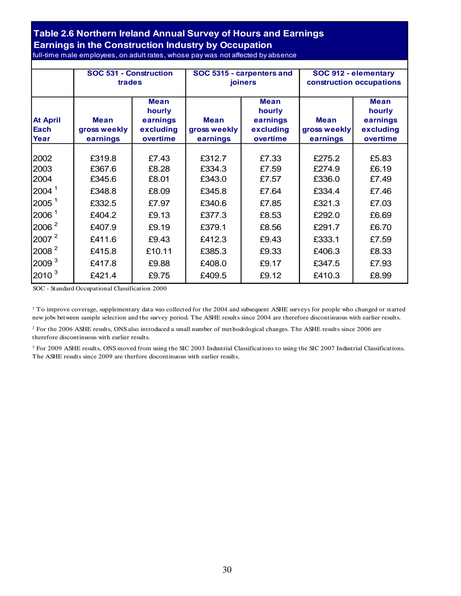#### **Table 2.6 Northern Ireland Annual Survey of Hours and Earnings Earnings in the Construction Industry by Occupation** full-time male employees, on adult rates, whose pay was not affected by absence

|                                 | SOC 531 - Construction<br>trades        |                                                            |                                         | SOC 5315 - carpenters and<br><b>joiners</b>                | SOC 912 - elementary<br>construction occupations |                                                            |
|---------------------------------|-----------------------------------------|------------------------------------------------------------|-----------------------------------------|------------------------------------------------------------|--------------------------------------------------|------------------------------------------------------------|
| <b>At April</b><br>Each<br>Year | <b>Mean</b><br>gross weekly<br>earnings | <b>Mean</b><br>hourly<br>earnings<br>excluding<br>overtime | <b>Mean</b><br>gross weekly<br>earnings | <b>Mean</b><br>hourly<br>earnings<br>excluding<br>overtime | <b>Mean</b><br>gross weekly<br>earnings          | <b>Mean</b><br>hourly<br>earnings<br>excluding<br>overtime |
| 2002                            | £319.8                                  | £7.43                                                      | £312.7                                  | £7.33                                                      | £275.2                                           | £5.83                                                      |
| 2003                            | £367.6                                  | £8.28                                                      | £334.3                                  | £7.59                                                      | £274.9                                           | £6.19                                                      |
| 2004                            | £345.6                                  | £8.01                                                      | £343.0                                  | £7.57                                                      | £336.0                                           | £7.49                                                      |
| 2004 <sup>1</sup>               | £348.8                                  | £8.09                                                      | £345.8                                  | £7.64                                                      | £334.4                                           | £7.46                                                      |
| $2005^1$                        | £332.5                                  | £7.97                                                      | £340.6                                  | £7.85                                                      | £321.3                                           | £7.03                                                      |
| 2006 <sup>1</sup>               | £404.2                                  | £9.13                                                      | £377.3                                  | £8.53                                                      | £292.0                                           | £6.69                                                      |
| 2006 <sup>2</sup>               | £407.9                                  | £9.19                                                      | £379.1                                  | £8.56                                                      | £291.7                                           | £6.70                                                      |
| 2007 <sup>2</sup>               | £411.6                                  | £9.43                                                      | £412.3                                  | £9.43                                                      | £333.1                                           | £7.59                                                      |
| 2008 <sup>2</sup>               | £415.8                                  | £10.11                                                     | £385.3                                  | £9.33                                                      | £406.3                                           | £8.33                                                      |
| 2009 <sup>3</sup>               | £417.8                                  | £9.88                                                      | £408.0                                  | £9.17                                                      | £347.5                                           | £7.93                                                      |
| $2010^3$                        | £421.4                                  | £9.75                                                      | £409.5                                  | £9.12                                                      | £410.3                                           | £8.99                                                      |

SOC - Standard Occupational Classification 2000

1 To improve coverage, supplementary data was collected for the 2004 and subsequent ASHE surveys for people who changed or started new jobs between sample selection and the survey period. The ASHE results since 2004 are therefore discontinuous with earlier results.

<sup>2</sup> For the 2006 ASHE results, ONS also introduced a small number of methodological changes. The ASHE results since 2006 are therefore discontinuous with earlier results.

<sup>3</sup> For 2009 ASHE results, ONS moved from using the SIC 2003 Industrial Classifications to using the SIC 2007 Industrial Classifications. The ASHE results since 2009 are therfore discontinuous with earlier results.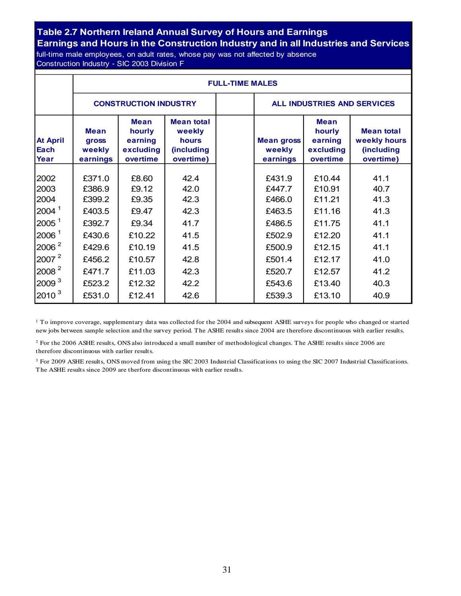#### **Table 2.7 Northern Ireland Annual Survey of Hours and Earnings**

**Earnings and Hours in the Construction Industry and in all Industries and Services** full-time male employees, on adult rates, whose pay was not affected by absence

Construction Industry - SIC 2003 Division F

|                                                                                                          |                                                                    | <b>FULL-TIME MALES</b>                                        |                                                                 |  |                                                                    |                                                                    |                                                              |  |  |  |
|----------------------------------------------------------------------------------------------------------|--------------------------------------------------------------------|---------------------------------------------------------------|-----------------------------------------------------------------|--|--------------------------------------------------------------------|--------------------------------------------------------------------|--------------------------------------------------------------|--|--|--|
|                                                                                                          |                                                                    | <b>CONSTRUCTION INDUSTRY</b>                                  |                                                                 |  |                                                                    | <b>ALL INDUSTRIES AND SERVICES</b>                                 |                                                              |  |  |  |
| <b>At April</b><br>Each<br>Year                                                                          | <b>Mean</b><br>gross<br>weekly<br>earnings                         | <b>Mean</b><br>hourly<br>earning<br>excluding<br>overtime     | <b>Mean total</b><br>weekly<br>hours<br>(including<br>overtime) |  | <b>Mean gross</b><br>weekly<br>earnings                            | <b>Mean</b><br>hourly<br>earning<br>excluding<br>overtime          | <b>Mean total</b><br>weekly hours<br>(including<br>overtime) |  |  |  |
| 2002<br>2003<br>2004<br>2004 <sup>1</sup><br>2005 <sup>1</sup><br>2006 <sup>1</sup><br>2006 <sup>2</sup> | £371.0<br>£386.9<br>£399.2<br>£403.5<br>£392.7<br>£430.6<br>£429.6 | £8.60<br>£9.12<br>£9.35<br>£9.47<br>£9.34<br>£10.22<br>£10.19 | 42.4<br>42.0<br>42.3<br>42.3<br>41.7<br>41.5<br>41.5            |  | £431.9<br>£447.7<br>£466.0<br>£463.5<br>£486.5<br>£502.9<br>£500.9 | £10.44<br>£10.91<br>£11.21<br>£11.16<br>£11.75<br>£12.20<br>£12.15 | 41.1<br>40.7<br>41.3<br>41.3<br>41.1<br>41.1<br>41.1         |  |  |  |
| $2007^2$<br>$2008^2$<br>2009 <sup>3</sup><br>$2010^3$                                                    | £456.2<br>£471.7<br>£523.2<br>£531.0                               | £10.57<br>£11.03<br>£12.32<br>£12.41                          | 42.8<br>42.3<br>42.2<br>42.6                                    |  | £501.4<br>£520.7<br>£543.6<br>£539.3                               | £12.17<br>£12.57<br>£13.40<br>£13.10                               | 41.0<br>41.2<br>40.3<br>40.9                                 |  |  |  |

<sup>1</sup> To improve coverage, supplementary data was collected for the 2004 and subsequent ASHE surveys for people who changed or started new jobs between sample selection and the survey period. The ASHE results since 2004 are therefore discontinuous with earlier results.

2 For the 2006 ASHE results, ONS also introduced a small number of methodological changes. The ASHE results since 2006 are therefore discontinuous with earlier results.

<sup>3</sup> For 2009 ASHE results, ONS moved from using the SIC 2003 Industrial Classifications to using the SIC 2007 Industrial Classifications. The ASHE results since 2009 are therfore discontinuous with earlier results.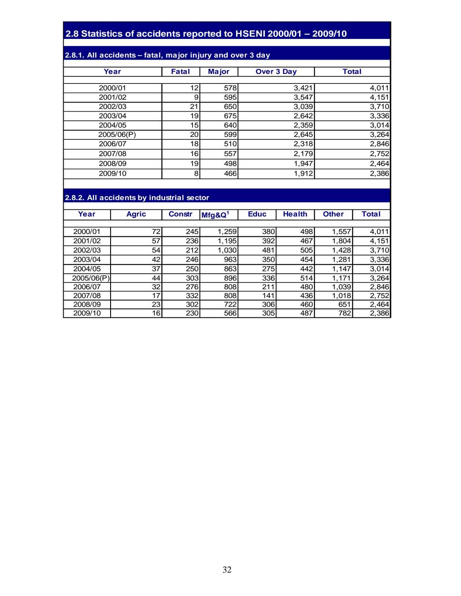#### **2.8 Statistics of accidents reported to HSENI 2000/01 – 2009/10**

#### **2.8.1. All accidents – fatal, major injury and over 3 day**

| Year       |              |              |                   | <b>Total</b> |
|------------|--------------|--------------|-------------------|--------------|
|            | <b>Fatal</b> | <b>Major</b> | <b>Over 3 Day</b> |              |
|            |              |              |                   |              |
| 2000/01    | 12           | 578          | 3,421             | 4,011        |
| 2001/02    | 9            | 595          | 3,547             | 4,151        |
| 2002/03    | 21           | 650          | 3,039             | 3,710        |
| 2003/04    | 19           | 675          | 2,642             | 3,336        |
| 2004/05    | 15           | 640          | 2,359             | 3,014        |
| 2005/06(P) | 20           | 599          | 2,645             | 3,264        |
| 2006/07    | 18           | 510          | 2,318             | 2,846        |
| 2007/08    | 16           | 557          | 2,179             | 2,752        |
| 2008/09    | 19           | 498          | 1,947             | 2,464        |
| 2009/10    | 8            | 466          | 1,912             | 2,386        |

#### **2.8.2. All accidents by industrial sector**

| Year       | <b>Agric</b>    | <b>Constr</b> | $Mfg$ &Q <sup>1</sup> | <b>Educ</b> | <b>Health</b> | <b>Other</b> | <b>Total</b> |  |  |  |  |
|------------|-----------------|---------------|-----------------------|-------------|---------------|--------------|--------------|--|--|--|--|
|            |                 |               |                       |             |               |              |              |  |  |  |  |
| 2000/01    | 72              | 245           | 1,259                 | 380         | 498           | 1,557        | 4,011        |  |  |  |  |
| 2001/02    | 57              | 236           | 1,195                 | 392         | 467           | 1,804        | 4,151        |  |  |  |  |
| 2002/03    | 54              | 212           | 1,030                 | 481         | 505           | 1,428        | 3,710        |  |  |  |  |
| 2003/04    | 42              | 246           | 963                   | 350         | 454           | 1.281        | 3,336        |  |  |  |  |
| 2004/05    | 37              | 250           | 863                   | 275         | 442           | 1,147        | 3,014        |  |  |  |  |
| 2005/06(P) | 44              | 303           | 896                   | 336         | 514           | 1,171        | 3,264        |  |  |  |  |
| 2006/07    | 32 <sub>2</sub> | 276           | 808                   | 211         | 480           | 1,039        | 2,846        |  |  |  |  |
| 2007/08    | 17              | 332           | 808                   | 141         | 436           | 1,018        | 2,752        |  |  |  |  |
| 2008/09    | 23 <sub>1</sub> | 302           | 722                   | 306         | 460           | 651          | 2,464        |  |  |  |  |
| 2009/10    | 16              | 230           | 566                   | 305         | 487           | 782          | 2,386        |  |  |  |  |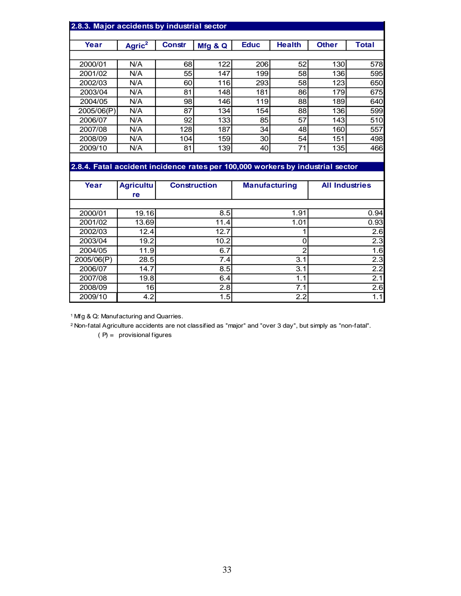| 2.8.3. Major accidents by industrial sector                                    |                     |               |                     |                      |                |                       |              |  |
|--------------------------------------------------------------------------------|---------------------|---------------|---------------------|----------------------|----------------|-----------------------|--------------|--|
|                                                                                |                     |               |                     |                      |                |                       |              |  |
| Year                                                                           | $A^{\text{gric}^2}$ | <b>Constr</b> | Mfg & Q             | <b>Educ</b>          | <b>Health</b>  | <b>Other</b>          | <b>Total</b> |  |
|                                                                                |                     |               |                     |                      |                |                       |              |  |
| 2000/01                                                                        | N/A                 | 68            | 122                 | 206                  | 52             | 130                   | 578          |  |
| 2001/02                                                                        | N/A                 | 55            | 147                 | 199                  | 58             | 136                   | 595          |  |
| 2002/03                                                                        | N/A                 | 60            | 116                 | 293                  | 58             | 123                   | 650          |  |
| 2003/04                                                                        | N/A                 | 81            | 148                 | 181                  | 86             | 179                   | 675          |  |
| 2004/05                                                                        | N/A                 | 98            | 146                 | 119                  | 88             | 189                   | 640          |  |
| 2005/06(P)                                                                     | N/A                 | 87            | 134                 | 154                  | 88             | 136                   | 599          |  |
| 2006/07                                                                        | N/A                 | 92            | 133                 | 85                   | 57             | 143                   | 510          |  |
| 2007/08                                                                        | N/A                 | 128           | 187                 | 34                   | 48             | 160                   | 557          |  |
| 2008/09                                                                        | N/A                 | 104           | 159                 | 30                   | 54             | 151                   | 498          |  |
| 2009/10                                                                        | N/A                 | 81            | 139                 | 40                   | 71             | 135                   | 466          |  |
|                                                                                |                     |               |                     |                      |                |                       |              |  |
| 2.8.4. Fatal accident incidence rates per 100,000 workers by industrial sector |                     |               |                     |                      |                |                       |              |  |
|                                                                                |                     |               |                     |                      |                |                       |              |  |
| Year                                                                           | <b>Agricultu</b>    |               | <b>Construction</b> | <b>Manufacturing</b> |                | <b>All Industries</b> |              |  |
|                                                                                | re                  |               |                     |                      |                |                       |              |  |
|                                                                                |                     |               |                     |                      |                |                       |              |  |
| 2000/01                                                                        | 19.16               |               | 8.5                 |                      | 1.91           |                       | 0.94         |  |
| 2001/02                                                                        | 13.69               |               | 11.4                |                      | 1.01           |                       | 0.93         |  |
| 2002/03                                                                        | 12.4                |               | 12.7                |                      | 1              | 2.6                   |              |  |
| 2003/04                                                                        | 19.2                |               | 10.2                |                      | 0              |                       | 2.3          |  |
| 2004/05                                                                        | 11.9                |               | 6.7                 |                      | $\overline{c}$ |                       | 1.6          |  |

| Year       | <b>Agricultu</b> | <b>Construction</b> | <b>Manufacturing</b> | <b>All Industries</b> |  |
|------------|------------------|---------------------|----------------------|-----------------------|--|
|            | re               |                     |                      |                       |  |
|            |                  |                     |                      |                       |  |
| 2000/01    | 19.16            | 8.5                 | 1.91                 | 0.94                  |  |
| 2001/02    | 13.69            | 11.4                | 1.01                 | 0.93                  |  |
| 2002/03    | 12.4             | 12.7                |                      | 2.6                   |  |
| 2003/04    | 19.2             | 10.2                | 0                    | 2.3                   |  |
| 2004/05    | 11.9             | 6.7                 | $\mathfrak{p}$       | 1.6                   |  |
| 2005/06(P) | 28.5             | 7.4                 | 3.1                  | 2.3                   |  |
| 2006/07    | 14.7             | 8.5                 | 3.1                  | 2.2                   |  |
| 2007/08    | 19.8             | 6.4                 | 1.1                  | 2.1                   |  |
| 2008/09    | 16               | 2.8                 | 7.1                  | 2.6                   |  |
| 2009/10    | 4.2              | 1.5                 | 2.2                  | 1.1                   |  |

1 Mfg & Q: Manufacturing and Quarries.

2 Non-fatal Agriculture accidents are not classified as "major" and "over 3 day", but simply as "non-fatal".

 $(P) =$  provisional figures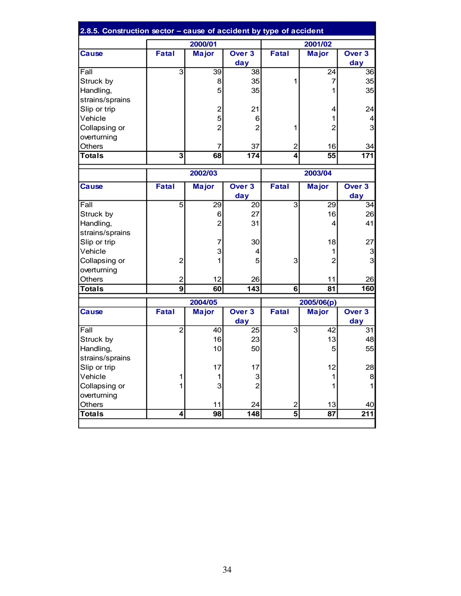| 2.8.5. Construction sector - cause of accident by type of accident |                         |                  |                          |                |                |                          |
|--------------------------------------------------------------------|-------------------------|------------------|--------------------------|----------------|----------------|--------------------------|
|                                                                    |                         | 2000/01          |                          |                | 2001/02        |                          |
| <b>Cause</b>                                                       | <b>Fatal</b>            | <b>Major</b>     | Over <sub>3</sub>        | <b>Fatal</b>   | <b>Major</b>   | Over <sub>3</sub>        |
|                                                                    |                         |                  | day                      |                |                | day                      |
| Fall                                                               | $\overline{3}$          | 39               | $\overline{38}$          |                | 24             | $\overline{36}$          |
| Struck by                                                          |                         | 8                | 35                       | 1              | $\overline{7}$ | 35                       |
| Handling,                                                          |                         | 5                | 35                       |                | 1              | 35                       |
| strains/sprains                                                    |                         |                  |                          |                |                |                          |
| Slip or trip                                                       |                         | $\boldsymbol{2}$ | 21                       |                | 4              | 24                       |
| Vehicle                                                            |                         | 5                | 6                        |                | 1              | $\overline{\mathcal{L}}$ |
| Collapsing or                                                      |                         | $\overline{2}$   | $\overline{2}$           | 1              | $\overline{2}$ | $\overline{3}$           |
| overturning                                                        |                         |                  |                          |                |                |                          |
| Others                                                             |                         | $\overline{7}$   | 37                       | $\overline{2}$ | 16             | 34                       |
| <b>Totals</b>                                                      | 3                       | 68               | 174                      | 4              | 55             | 171                      |
|                                                                    | 2002/03                 |                  |                          |                | 2003/04        |                          |
| <b>Cause</b>                                                       | <b>Fatal</b>            | <b>Major</b>     | Over <sub>3</sub>        | <b>Fatal</b>   | <b>Major</b>   | Over 3                   |
|                                                                    |                         |                  | day                      |                |                | day                      |
| Fall                                                               | $\overline{5}$          | 29               | 20                       | 3              | 29             | 34                       |
| Struck by                                                          |                         | 6                | 27                       |                | 16             | 26                       |
| Handling,                                                          |                         | $\overline{2}$   | 31                       |                | 4              | 41                       |
| strains/sprains                                                    |                         |                  |                          |                |                |                          |
| Slip or trip                                                       |                         | 7                | 30                       |                | 18             | 27                       |
| Vehicle                                                            |                         | 3                | 4                        |                | 1              | 3                        |
| Collapsing or                                                      | $\overline{2}$          | 1                | 5                        | 3              | $\overline{2}$ | 3                        |
| overturning                                                        |                         |                  |                          |                |                |                          |
| <b>Others</b>                                                      | $\mathbf 2$             | 12               | 26                       |                | 11             | 26                       |
| Totals                                                             | $\overline{9}$          | 60               | $\overline{143}$         | 6 <sup>1</sup> | 81             | 160                      |
|                                                                    |                         | 2004/05          |                          |                | 2005/06(p)     |                          |
| <b>Cause</b>                                                       | <b>Fatal</b>            | <b>Major</b>     | Over <sub>3</sub><br>day | <b>Fatal</b>   | <b>Major</b>   | Over <sub>3</sub><br>day |
| Fall                                                               | $\overline{2}$          | 40               | 25                       | 3              | 42             | 31                       |
| Struck by                                                          |                         | 16               | 23                       |                | 13             | 48                       |
| Handling,                                                          |                         | 10               | 50                       |                | 5              | 55                       |
| strains/sprains                                                    |                         |                  |                          |                |                |                          |
| Slip or trip                                                       |                         | 17               | 17                       |                | 12             | 28                       |
| Vehicle                                                            | 1                       | 1                | 3                        |                | $\mathbf{1}$   | 8                        |
| Collapsing or                                                      | 1                       | 3                | $\overline{2}$           |                | 1              | $\mathbf{1}$             |
| overturning                                                        |                         |                  |                          |                |                |                          |
| Others                                                             |                         | 11               | 24                       | $\overline{c}$ | 13             | 40                       |
| <b>Totals</b>                                                      | $\overline{\mathbf{4}}$ | 98               | 148                      | 5 <sup>1</sup> | 87             | 211                      |
|                                                                    |                         |                  |                          |                |                |                          |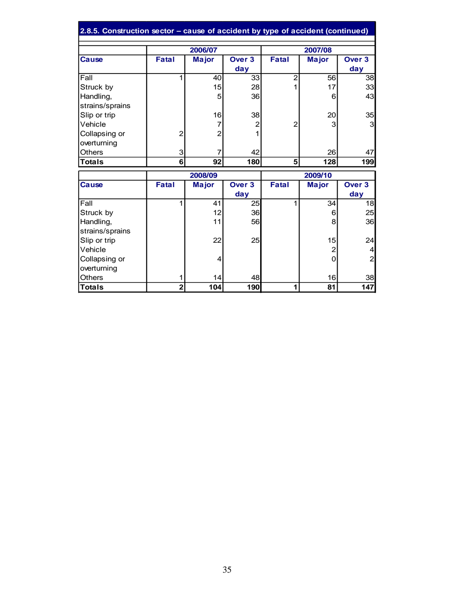| 2.8.5. Construction sector – cause of accident by type of accident (continued) |                |                |                   |                |              |                   |  |
|--------------------------------------------------------------------------------|----------------|----------------|-------------------|----------------|--------------|-------------------|--|
|                                                                                |                | 2006/07        |                   | 2007/08        |              |                   |  |
| <b>Cause</b>                                                                   | <b>Fatal</b>   | <b>Major</b>   | Over 3            | <b>Fatal</b>   | <b>Major</b> | Over <sub>3</sub> |  |
|                                                                                |                |                | day               |                |              | day               |  |
| Fall                                                                           | 1              | 40             | 33                | $\overline{2}$ | 56           | 38                |  |
| Struck by                                                                      |                | 15             | 28                | 1              | 17           | 33                |  |
| Handling,                                                                      |                | 5              | 36                |                | 6            | 43                |  |
| strains/sprains                                                                |                |                |                   |                |              |                   |  |
| Slip or trip                                                                   |                | 16             | 38                |                | 20           | 35                |  |
| Vehicle                                                                        |                | $\overline{7}$ | 2                 | $\overline{2}$ | 3            | 3                 |  |
| Collapsing or                                                                  | 2              | $\overline{2}$ |                   |                |              |                   |  |
| overturning                                                                    |                |                |                   |                |              |                   |  |
| Others                                                                         | 3              | 7              | 42                |                | 26           | 47                |  |
| Totals                                                                         | 6 <sup>1</sup> | 92             | 180               | 5              | 128          | 199               |  |
|                                                                                |                | 2008/09        |                   | 2009/10        |              |                   |  |
| Cause                                                                          | <b>Fatal</b>   | <b>Major</b>   | Over <sub>3</sub> | <b>Fatal</b>   | <b>Major</b> | Over <sub>3</sub> |  |
|                                                                                |                |                | day               |                |              | day               |  |
| Fall                                                                           | 1              | 41             | 25                | 1              | 34           | 18                |  |
| Struck by                                                                      |                | 12             | 36                |                | 6            | 25                |  |
| Handling,                                                                      |                | 11             | 56                |                | 8            | 36                |  |
| strains/sprains                                                                |                |                |                   |                |              |                   |  |
| Slip or trip                                                                   |                | 22             | 25                |                | 15           | 24                |  |
| Vehicle                                                                        |                |                |                   |                | 2            | 4                 |  |
| Collapsing or                                                                  |                | $\overline{4}$ |                   |                | $\Omega$     | $\overline{2}$    |  |
| overturning                                                                    |                |                |                   |                |              |                   |  |
| <b>Others</b>                                                                  | 1              | 14             | 48                |                | 16           | 38                |  |
| <b>Totals</b>                                                                  | $\overline{2}$ | 104            | 190               | 1              | 81           | 147               |  |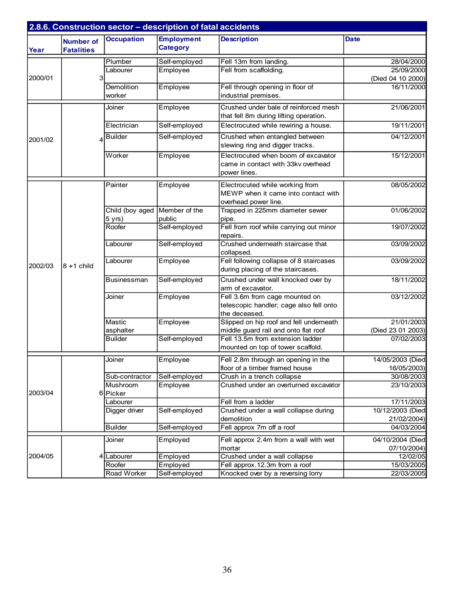|         |                                       |                             | 2.8.6. Construction sector - description of fatal accidents |                                                                                                |                   |
|---------|---------------------------------------|-----------------------------|-------------------------------------------------------------|------------------------------------------------------------------------------------------------|-------------------|
| Year    | <b>Number of</b><br><b>Fatalities</b> | <b>Occupation</b>           | <b>Employment</b><br><b>Category</b>                        | <b>Description</b>                                                                             | <b>Date</b>       |
|         |                                       | Plumber                     | Self-employed                                               | Fell 13m from landing.                                                                         | 28/04/2000        |
|         |                                       | Labourer                    | Employee                                                    | Fell from scaffolding.                                                                         | 25/09/2000        |
| 2000/01 | 3                                     |                             |                                                             |                                                                                                | (Died 04 10 2000) |
|         |                                       | <b>Demolition</b><br>worker | Employee                                                    | Fell through opening in floor of<br>industrial premises.                                       | 16/11/2000        |
|         |                                       | Joiner                      | Employee                                                    | Crushed under bale of reinforced mesh<br>that fell 8m during lifting operation.                | 21/06/2001        |
|         |                                       | Electrician                 | Self-employed                                               | Electrocuted while rewiring a house.                                                           | 19/11/2001        |
| 2001/02 |                                       | <b>Builder</b>              | Self-employed                                               | Crushed when entangled between<br>slewing ring and digger tracks.                              | 04/12/2001        |
|         |                                       | Worker                      | Employee                                                    | Electrocuted when boom of excavator<br>came in contact with 33kv overhead<br>power lines.      | 15/12/2001        |
|         |                                       | Painter                     | Employee                                                    | Electrocuted while working from<br>MEWP when it came into contact with<br>overhead power line. | 08/05/2002        |
|         |                                       | Child (boy aged             | Member of the                                               | Trapped in 225mm diameter sewer                                                                | 01/06/2002        |
|         |                                       | 5 yrs)                      | public                                                      | pipe.                                                                                          |                   |
|         |                                       | Roofer                      | Self-employed                                               | Fell from roof while carrying out minor                                                        | 19/07/2002        |
|         |                                       |                             |                                                             | repairs.                                                                                       |                   |
|         |                                       | Labourer                    | Self-employed                                               | Crushed underneath staircase that<br>collapsed.                                                | 03/09/2002        |
| 2002/03 | $8 + 1$ child                         | Labourer                    | Employee                                                    | Fell following collapse of 8 staircases<br>during placing of the staircases.                   | 03/09/2002        |
|         |                                       | <b>Businessman</b>          | Self-employed                                               | Crushed under wall knocked over by<br>arm of excavator.                                        | 18/11/2002        |
|         |                                       | Joiner                      | Employee                                                    | Fell 3.6m from cage mounted on<br>telescopic handler; cage also fell onto<br>the deceased.     | 03/12/2002        |
|         |                                       | Mastic                      | Employee                                                    | Slipped on hip roof and fell underneath                                                        | 21/01/2003        |
|         |                                       | asphalter                   |                                                             | middle guard rail and onto flat roof                                                           | (Died 23 01 2003) |
|         |                                       | <b>Builder</b>              | Self-employed                                               | Fell 13.5m from extension ladder<br>mounted on top of tower scaffold.                          | 07/02/2003        |
|         |                                       | Joiner                      | Employee                                                    | Fell 2.8m through an opening in the                                                            | 14/05/2003 (Died  |
|         |                                       |                             |                                                             | floor of a timber framed house                                                                 | 16/05/2003)       |
|         |                                       | Sub-contractor              | Self-employed                                               | Crush in a trench collapse                                                                     | 30/08/2003        |
| 2003/04 | 6                                     | Mushroom<br>Picker          | Employee                                                    | Crushed under an overturned excavator                                                          | 23/10/2003        |
|         |                                       | Labourer                    |                                                             | Fell from a ladder                                                                             | 17/11/2003        |
|         |                                       | Digger driver               | Self-employed                                               | Crushed under a wall collapse during                                                           | 10/12/2003 (Died  |
|         |                                       |                             |                                                             | demolition                                                                                     | 21/02/2004)       |
|         |                                       | <b>Builder</b>              | Self-employed                                               | Fell approx 7m off a roof                                                                      | 04/03/2004        |
|         |                                       | Joiner                      | Employed                                                    | Fell approx 2.4m from a wall with wet                                                          | 04/10/2004 (Died  |
|         |                                       |                             |                                                             | mortar                                                                                         | 07/10/2004)       |
| 2004/05 |                                       | Labourer                    | Employed                                                    | Crushed under a wall collapse                                                                  | 12/02/05          |
|         |                                       | Roofer                      | Employed                                                    | Fell approx.12.3m from a roof                                                                  | 15/03/2005        |
|         |                                       | Road Worker                 | Self-employed                                               | Knocked over by a reversing lorry                                                              | 22/03/2005        |